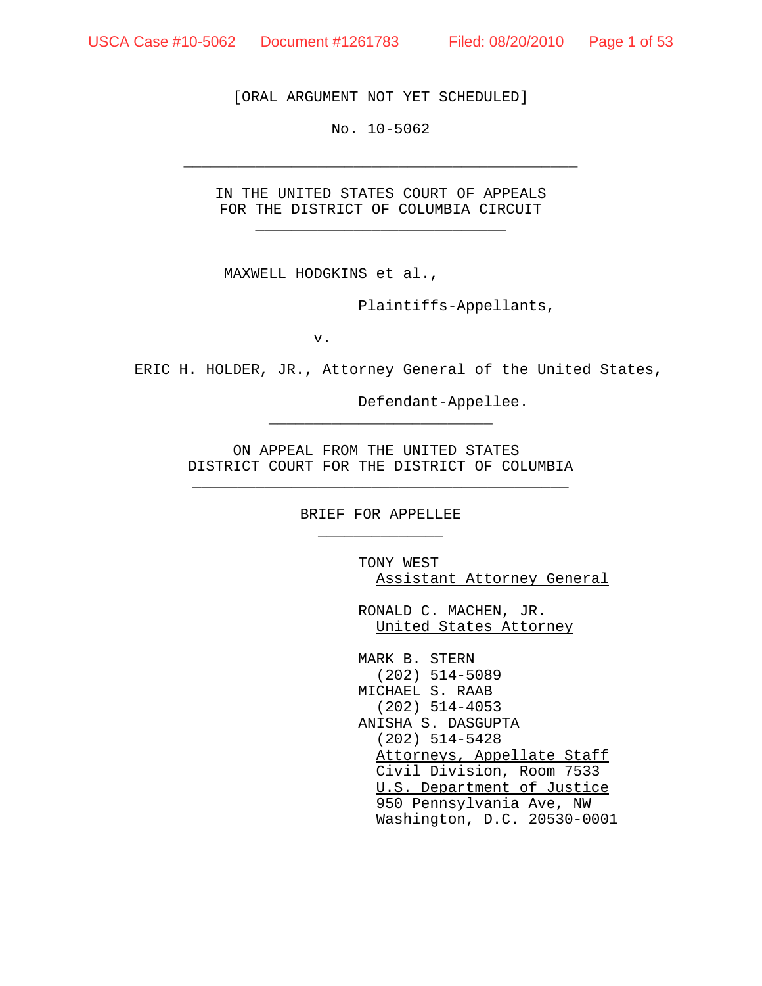[ORAL ARGUMENT NOT YET SCHEDULED]

No. 10-5062

\_\_\_\_\_\_\_\_\_\_\_\_\_\_\_\_\_\_\_\_\_\_\_\_\_\_\_\_\_\_\_\_\_\_\_\_\_\_\_\_\_\_\_\_

IN THE UNITED STATES COURT OF APPEALS FOR THE DISTRICT OF COLUMBIA CIRCUIT \_\_\_\_\_\_\_\_\_\_\_\_\_\_\_\_\_\_\_\_\_\_\_\_\_\_\_\_

MAXWELL HODGKINS et al.,

Plaintiffs-Appellants,

v.

ERIC H. HOLDER, JR., Attorney General of the United States,

Defendant-Appellee.

ON APPEAL FROM THE UNITED STATES DISTRICT COURT FOR THE DISTRICT OF COLUMBIA \_\_\_\_\_\_\_\_\_\_\_\_\_\_\_\_\_\_\_\_\_\_\_\_\_\_\_\_\_\_\_\_\_\_\_\_\_\_\_\_\_\_

\_\_\_\_\_\_\_\_\_\_\_\_\_\_\_\_\_\_\_\_\_\_\_\_\_

BRIEF FOR APPELLEE \_\_\_\_\_\_\_\_\_\_\_\_\_\_

> TONY WEST Assistant Attorney General

RONALD C. MACHEN, JR. United States Attorney

MARK B. STERN (202) 514-5089 MICHAEL S. RAAB (202) 514-4053 ANISHA S. DASGUPTA (202) 514-5428 Attorneys, Appellate Staff Civil Division, Room 7533 U.S. Department of Justice 950 Pennsylvania Ave, NW Washington, D.C. 20530-0001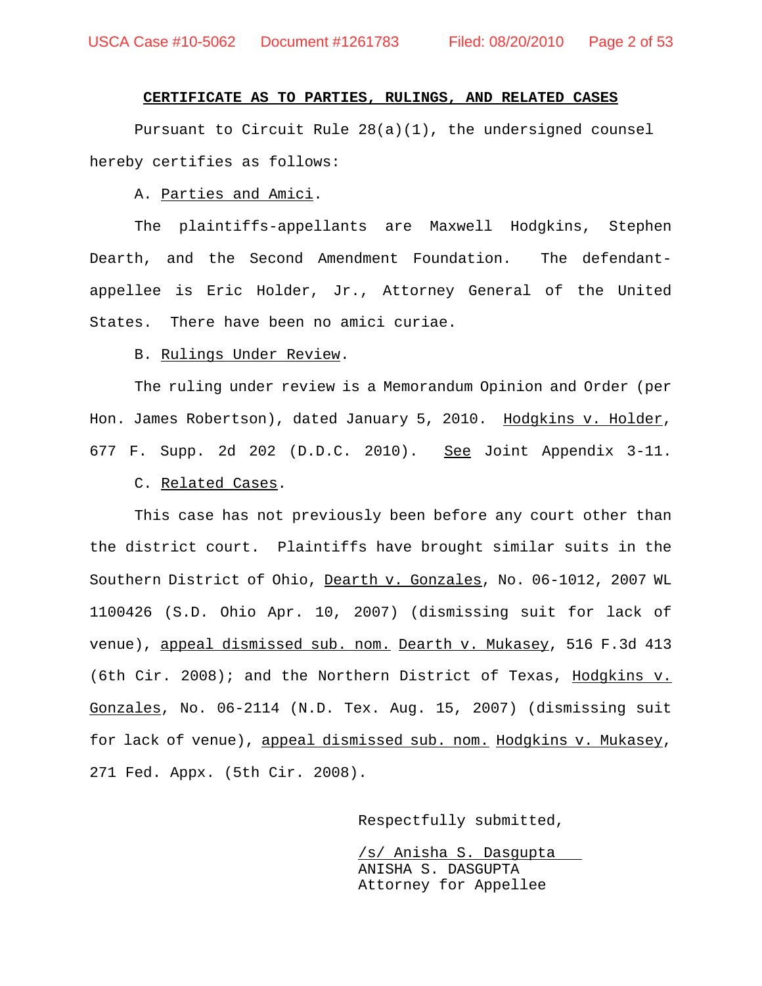## **CERTIFICATE AS TO PARTIES, RULINGS, AND RELATED CASES**

Pursuant to Circuit Rule 28(a)(1), the undersigned counsel hereby certifies as follows:

A. Parties and Amici.

The plaintiffs-appellants are Maxwell Hodgkins, Stephen Dearth, and the Second Amendment Foundation. The defendantappellee is Eric Holder, Jr., Attorney General of the United States. There have been no amici curiae.

#### B. Rulings Under Review.

The ruling under review is a Memorandum Opinion and Order (per Hon. James Robertson), dated January 5, 2010. Hodgkins v. Holder, 677 F. Supp. 2d 202 (D.D.C. 2010). See Joint Appendix 3-11.

#### C. Related Cases.

This case has not previously been before any court other than the district court. Plaintiffs have brought similar suits in the Southern District of Ohio, Dearth v. Gonzales, No. 06-1012, 2007 WL 1100426 (S.D. Ohio Apr. 10, 2007) (dismissing suit for lack of venue), appeal dismissed sub. nom. Dearth v. Mukasey, 516 F.3d 413 (6th Cir. 2008); and the Northern District of Texas, Hodgkins v. Gonzales, No. 06-2114 (N.D. Tex. Aug. 15, 2007) (dismissing suit for lack of venue), appeal dismissed sub. nom. Hodgkins v. Mukasey, 271 Fed. Appx. (5th Cir. 2008).

Respectfully submitted,

/s/ Anisha S. Dasgupta ANISHA S. DASGUPTA Attorney for Appellee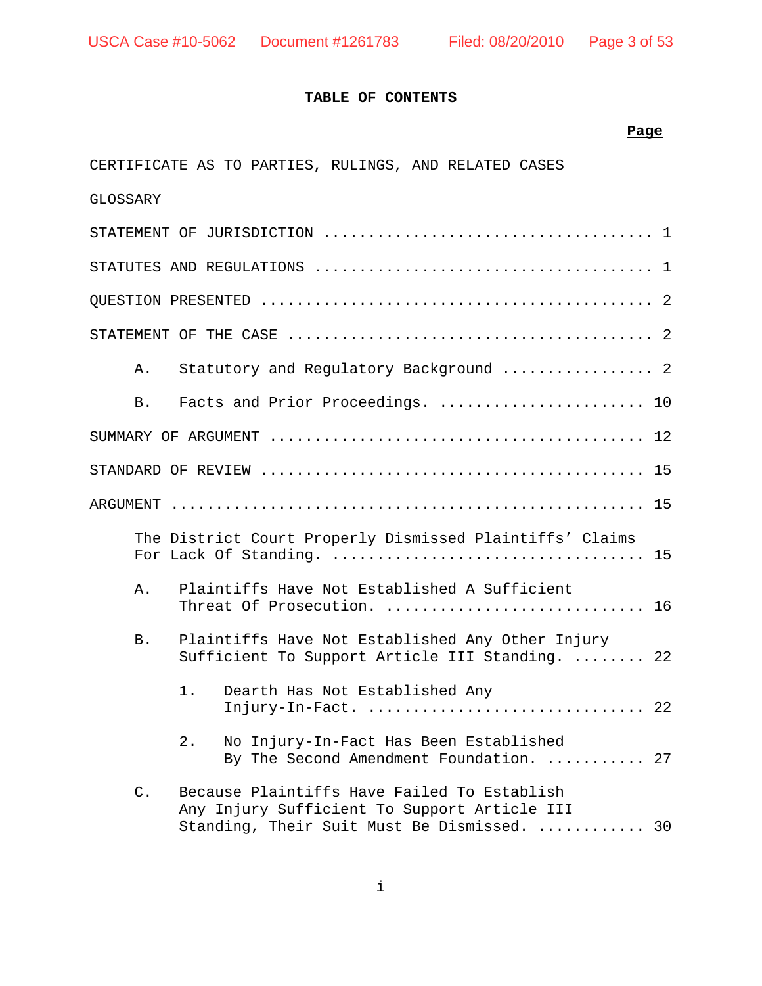## **TABLE OF CONTENTS**

## **Page**

| CERTIFICATE AS TO PARTIES, RULINGS, AND RELATED CASES                                                                                            |  |
|--------------------------------------------------------------------------------------------------------------------------------------------------|--|
| GLOSSARY                                                                                                                                         |  |
|                                                                                                                                                  |  |
|                                                                                                                                                  |  |
|                                                                                                                                                  |  |
|                                                                                                                                                  |  |
| Statutory and Regulatory Background  2<br>Α.                                                                                                     |  |
| Facts and Prior Proceedings.  10<br>B.                                                                                                           |  |
|                                                                                                                                                  |  |
|                                                                                                                                                  |  |
|                                                                                                                                                  |  |
| The District Court Properly Dismissed Plaintiffs' Claims                                                                                         |  |
| Plaintiffs Have Not Established A Sufficient<br>Α.<br>Threat Of Prosecution.  16                                                                 |  |
| Plaintiffs Have Not Established Any Other Injury<br>B.<br>Sufficient To Support Article III Standing.  22                                        |  |
| 1.<br>Dearth Has Not Established Any                                                                                                             |  |
| No Injury-In-Fact Has Been Established<br>2.<br>By The Second Amendment Foundation.  27                                                          |  |
| Because Plaintiffs Have Failed To Establish<br>C.<br>Any Injury Sufficient To Support Article III<br>Standing, Their Suit Must Be Dismissed.  30 |  |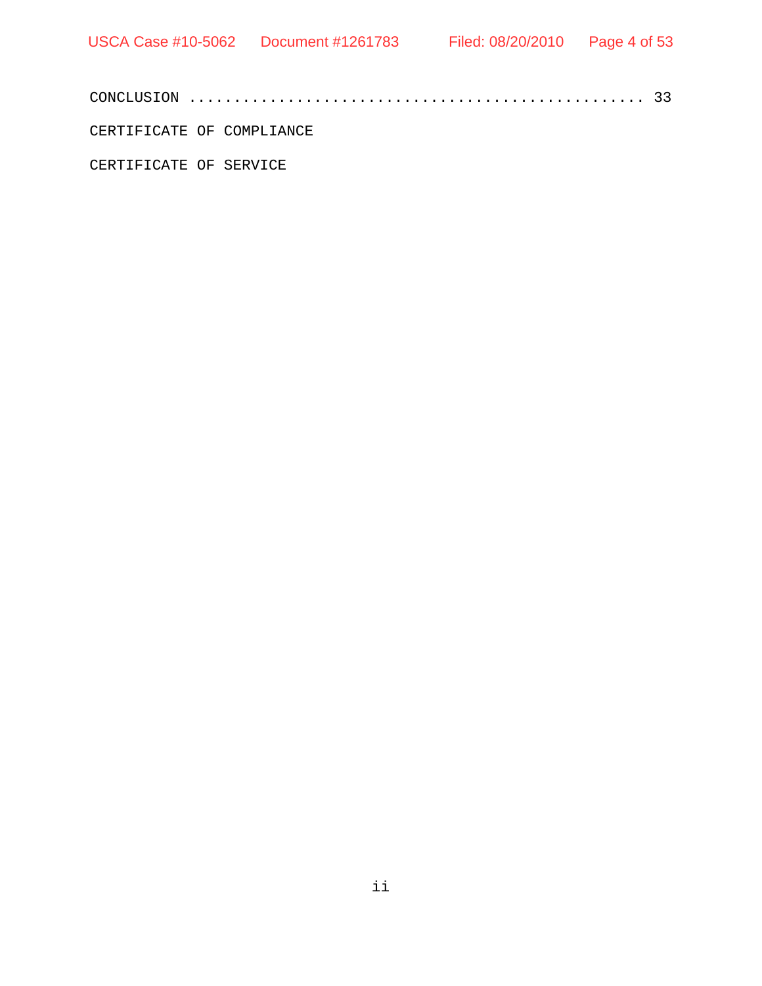CERTIFICATE OF COMPLIANCE

CERTIFICATE OF SERVICE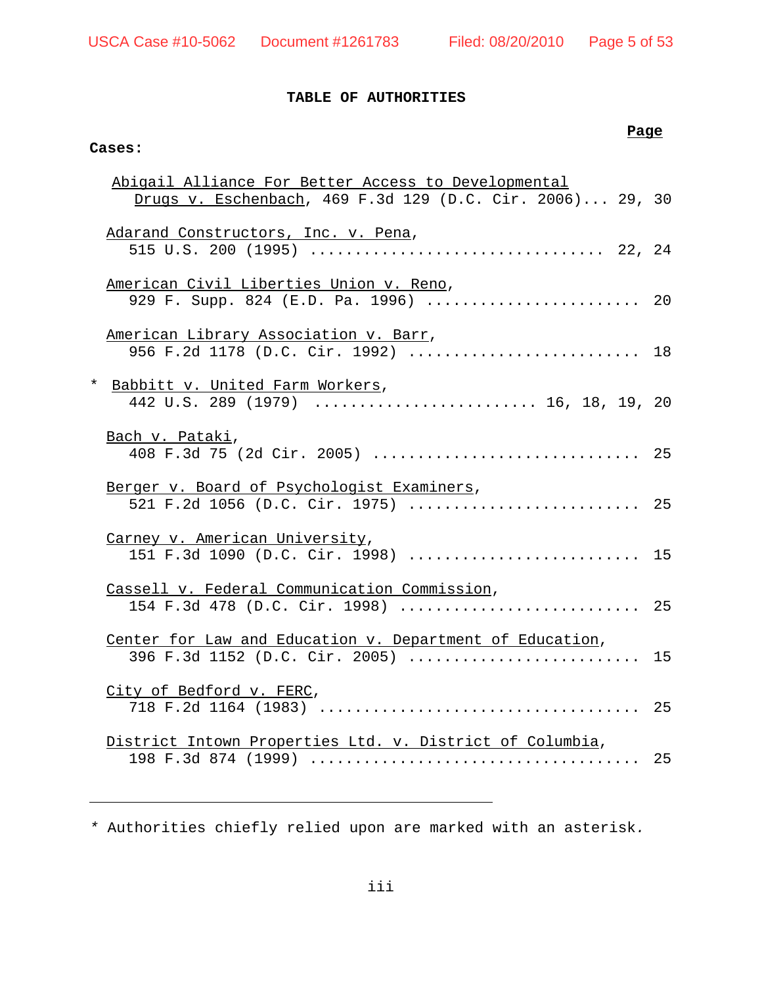## **TABLE OF AUTHORITIES**

## **Cases:**

## **Page**

|          | Abigail Alliance For Better Access to Developmental                                        |    |
|----------|--------------------------------------------------------------------------------------------|----|
|          | Drugs v. Eschenbach, 469 F.3d 129 (D.C. Cir. 2006) 29, 30                                  |    |
|          | Adarand Constructors, Inc. v. Pena,                                                        |    |
|          | American Civil Liberties Union v. Reno,<br>929 F. Supp. 824 (E.D. Pa. 1996)  20            |    |
|          | American Library Association v. Barr,<br>956 F.2d 1178 (D.C. Cir. 1992)  18                |    |
| $^\star$ | Babbitt v. United Farm Workers,<br>442 U.S. 289 (1979)  16, 18, 19, 20                     |    |
|          | Bach v. Pataki,<br>408 F.3d 75 (2d Cir. 2005)  25                                          |    |
|          | Berger v. Board of Psychologist Examiners,<br>521 F.2d 1056 (D.C. Cir. 1975)  25           |    |
|          | Carney v. American University,<br>151 F.3d 1090 (D.C. Cir. 1998)  15                       |    |
|          | Cassell v. Federal Communication Commission,<br>154 F.3d 478 (D.C. Cir. 1998)  25          |    |
|          | Center for Law and Education v. Department of Education,<br>396 F.3d 1152 (D.C. Cir. 2005) | 15 |
|          | City of Bedford v. FERC,                                                                   |    |
|          | District Intown Properties Ltd. v. District of Columbia,                                   | 25 |

*\** Authorities chiefly relied upon are marked with an asterisk*.*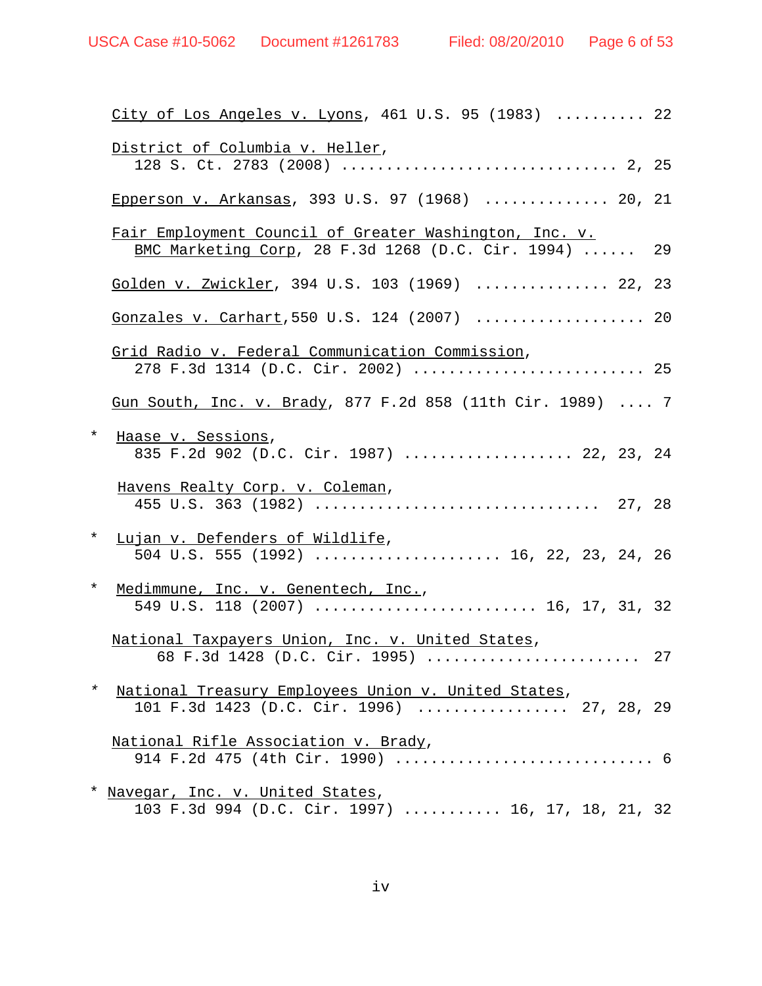|          | $City$ of Los Angeles v. Lyons, 461 U.S. 95 (1983)  22                                                          |  |
|----------|-----------------------------------------------------------------------------------------------------------------|--|
|          | District of Columbia v. Heller,                                                                                 |  |
|          | Epperson v. Arkansas, 393 U.S. 97 (1968)  20, 21                                                                |  |
|          | Fair Employment Council of Greater Washington, Inc. v.<br>BMC Marketing Corp, 28 F.3d 1268 (D.C. Cir. 1994)  29 |  |
|          | Golden v. Zwickler, 394 U.S. 103 (1969)  22, 23                                                                 |  |
|          | Gonzales v. Carhart, 550 U.S. 124 (2007)  20                                                                    |  |
|          | Grid Radio v. Federal Communication Commission,<br>278 F.3d 1314 (D.C. Cir. 2002)  25                           |  |
|          | Gun South, Inc. v. Brady, 877 F.2d 858 (11th Cir. 1989)  7                                                      |  |
| $^\star$ | Haase v. Sessions,<br>835 F.2d 902 (D.C. Cir. 1987)  22, 23, 24                                                 |  |
|          | Havens Realty Corp. v. Coleman,                                                                                 |  |
| $\star$  | Lujan v. Defenders of Wildlife,<br>504 U.S. 555 (1992)  16, 22, 23, 24, 26                                      |  |
| $\star$  | Medimmune, Inc. v. Genentech, Inc.,<br>549 U.S. 118 (2007)  16, 17, 31, 32                                      |  |
|          | National Taxpayers Union, Inc. v. United States,<br>68 F.3d 1428 (D.C. Cir. 1995)  27                           |  |
|          | * National Treasury Employees Union v. United States,<br>101 F.3d 1423 (D.C. Cir. 1996)  27, 28, 29             |  |
|          | National Rifle Association v. Brady,                                                                            |  |
|          | * Navegar, Inc. v. United States,<br>103 F.3d 994 (D.C. Cir. 1997)  16, 17, 18, 21, 32                          |  |
|          |                                                                                                                 |  |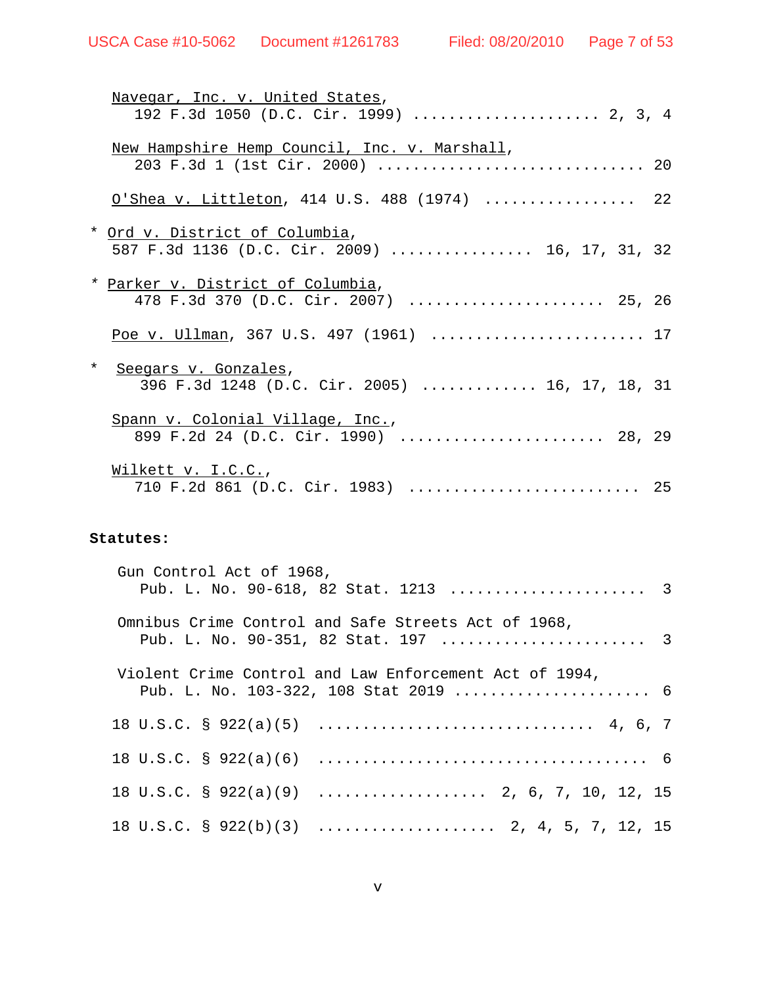| Navegar, Inc. v. United States,<br>192 F.3d 1050 (D.C. Cir. 1999)  2, 3, 4       |  |
|----------------------------------------------------------------------------------|--|
| New Hampshire Hemp Council, Inc. v. Marshall,                                    |  |
| O'Shea v. Littleton, 414 U.S. 488 (1974)  22                                     |  |
| * Ord v. District of Columbia,<br>587 F.3d 1136 (D.C. Cir. 2009)  16, 17, 31, 32 |  |
| * Parker v. District of Columbia,<br>478 F.3d 370 (D.C. Cir. 2007)  25, 26       |  |
| Poe v. Ullman, 367 U.S. 497 (1961)  17                                           |  |
| * Seegars v. Gonzales,<br>396 F.3d 1248 (D.C. Cir. 2005)  16, 17, 18, 31         |  |
| Spann v. Colonial Village, Inc.,<br>899 F.2d 24 (D.C. Cir. 1990)  28, 29         |  |
| Wilkett v. I.C.C.,<br>710 F.2d 861 (D.C. Cir. 1983)  25                          |  |

### **Statutes:**

| Gun Control Act of 1968, |                                                                                                 |  |
|--------------------------|-------------------------------------------------------------------------------------------------|--|
|                          | Omnibus Crime Control and Safe Streets Act of 1968,                                             |  |
|                          | Violent Crime Control and Law Enforcement Act of 1994,<br>Pub. L. No. 103-322, 108 Stat 2019  6 |  |
|                          |                                                                                                 |  |
|                          |                                                                                                 |  |
|                          | 18 U.S.C. § 922(a)(9)  2, 6, 7, 10, 12, 15                                                      |  |
|                          | 18 U.S.C. § 922(b)(3)  2, 4, 5, 7, 12, 15                                                       |  |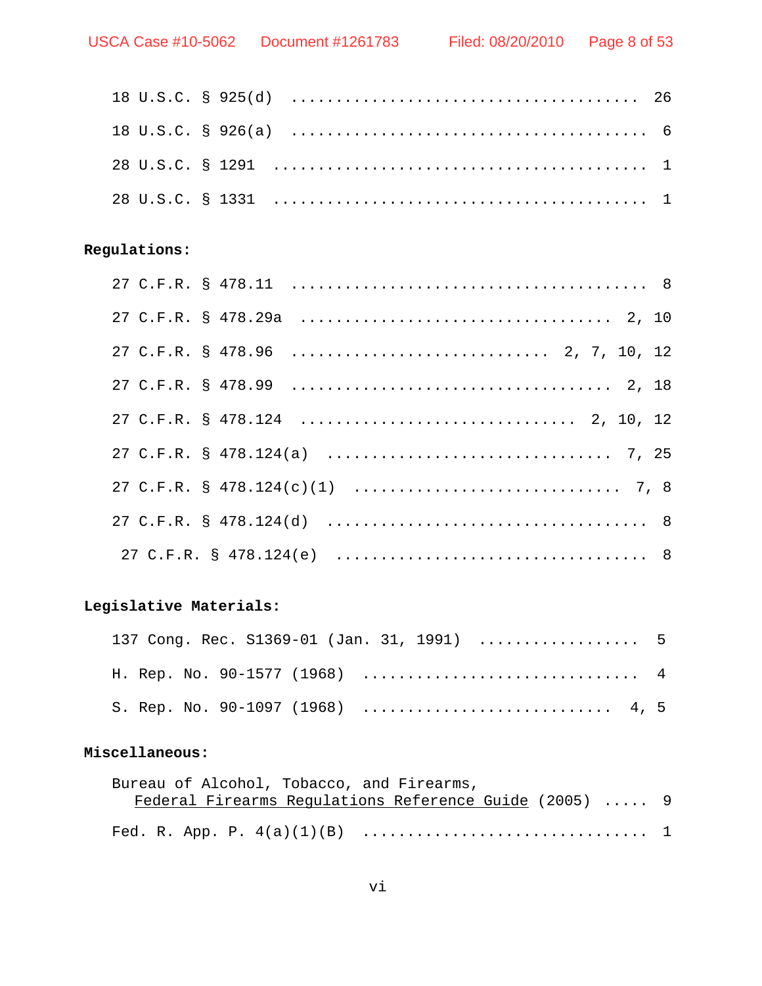## **Regulations:**

# **Legislative Materials:**

| 137 Cong. Rec. S1369-01 (Jan. 31, 1991)  5 |  |  |  |  |  |  |  |  |  |  |  |
|--------------------------------------------|--|--|--|--|--|--|--|--|--|--|--|
|                                            |  |  |  |  |  |  |  |  |  |  |  |
| S. Rep. No. 90-1097 (1968)  4, 5           |  |  |  |  |  |  |  |  |  |  |  |

## **Miscellaneous:**

| Bureau of Alcohol, Tobacco, and Firearms,              |  |
|--------------------------------------------------------|--|
| Federal Firearms Requlations Reference Guide (2005)  9 |  |
|                                                        |  |
|                                                        |  |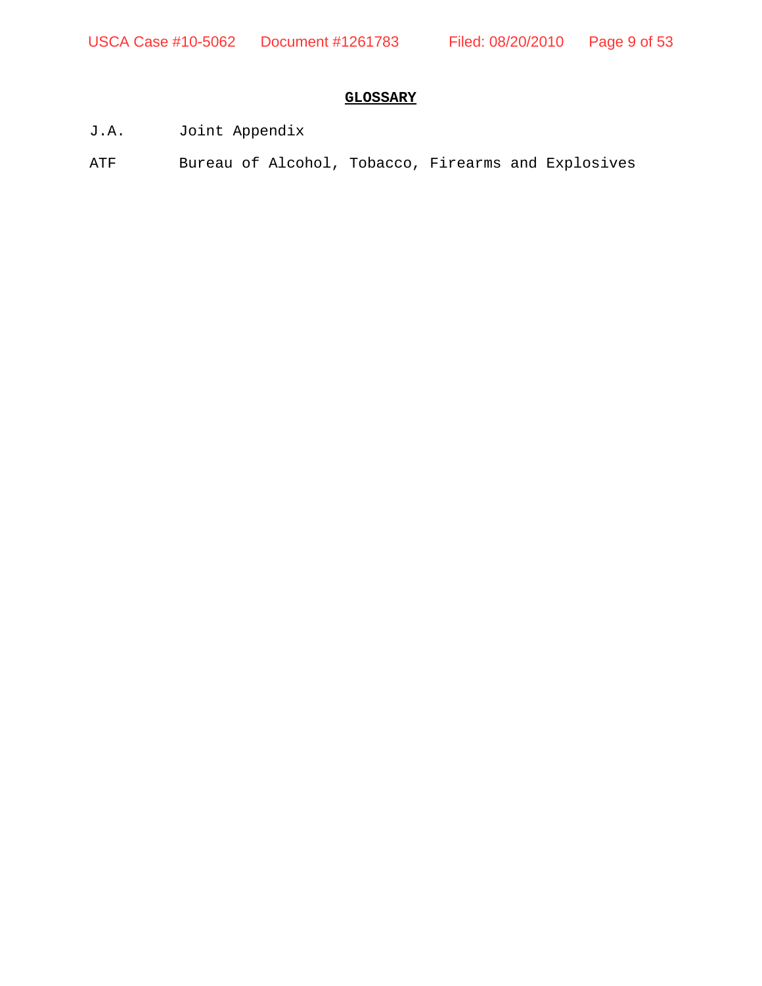# **GLOSSARY**

- J.A. Joint Appendix
- ATF Bureau of Alcohol, Tobacco, Firearms and Explosives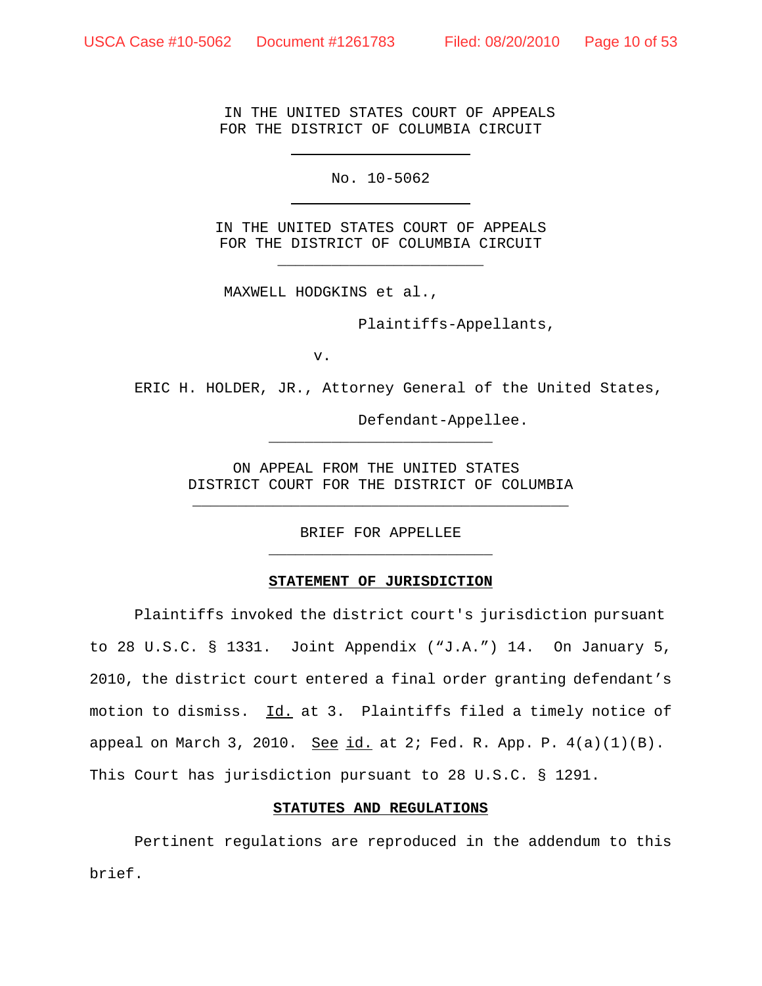IN THE UNITED STATES COURT OF APPEALS FOR THE DISTRICT OF COLUMBIA CIRCUIT

No. 10-5062

IN THE UNITED STATES COURT OF APPEALS FOR THE DISTRICT OF COLUMBIA CIRCUIT \_\_\_\_\_\_\_\_\_\_\_\_\_\_\_\_\_\_\_\_\_\_\_

MAXWELL HODGKINS et al.,

Plaintiffs-Appellants,

v.

ERIC H. HOLDER, JR., Attorney General of the United States,

Defendant-Appellee.

ON APPEAL FROM THE UNITED STATES DISTRICT COURT FOR THE DISTRICT OF COLUMBIA \_\_\_\_\_\_\_\_\_\_\_\_\_\_\_\_\_\_\_\_\_\_\_\_\_\_\_\_\_\_\_\_\_\_\_\_\_\_\_\_\_\_

\_\_\_\_\_\_\_\_\_\_\_\_\_\_\_\_\_\_\_\_\_\_\_\_\_

BRIEF FOR APPELLEE \_\_\_\_\_\_\_\_\_\_\_\_\_\_\_\_\_\_\_\_\_\_\_\_\_

#### **STATEMENT OF JURISDICTION**

Plaintiffs invoked the district court's jurisdiction pursuant to 28 U.S.C. § 1331. Joint Appendix ("J.A.") 14. On January 5, 2010, the district court entered a final order granting defendant's motion to dismiss. Id. at 3. Plaintiffs filed a timely notice of appeal on March 3, 2010. See  $id.$  at 2; Fed. R. App. P.  $4(a)(1)(B)$ . This Court has jurisdiction pursuant to 28 U.S.C. § 1291.

#### **STATUTES AND REGULATIONS**

Pertinent regulations are reproduced in the addendum to this brief.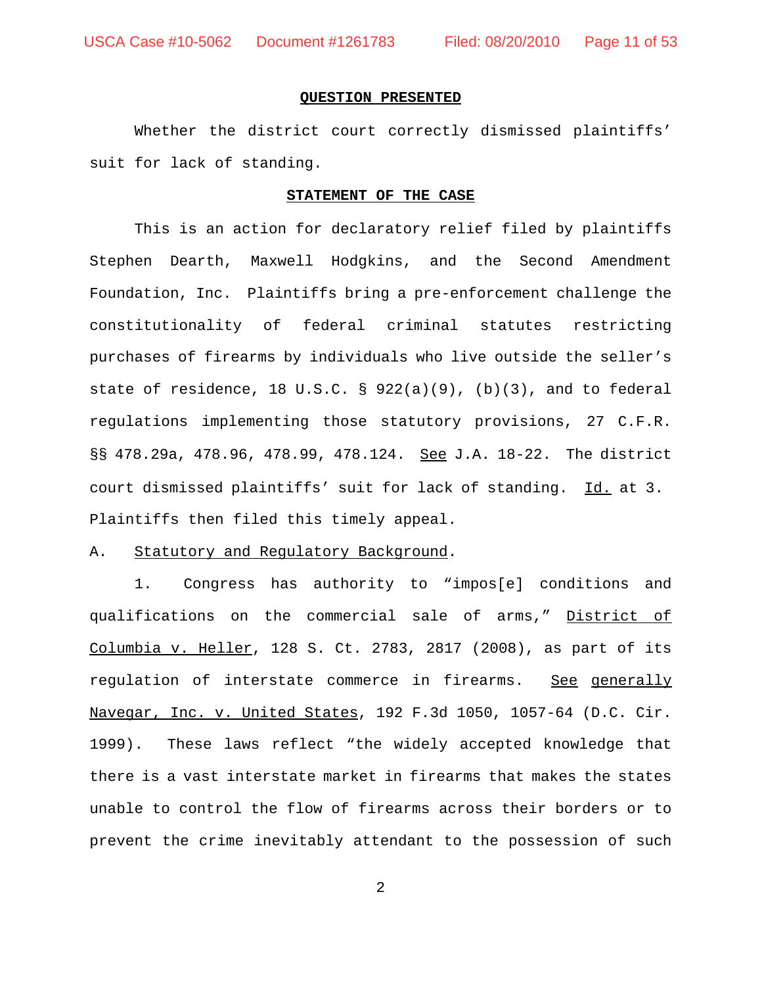#### **QUESTION PRESENTED**

Whether the district court correctly dismissed plaintiffs' suit for lack of standing.

#### **STATEMENT OF THE CASE**

This is an action for declaratory relief filed by plaintiffs Stephen Dearth, Maxwell Hodgkins, and the Second Amendment Foundation, Inc. Plaintiffs bring a pre-enforcement challenge the constitutionality of federal criminal statutes restricting purchases of firearms by individuals who live outside the seller's state of residence, 18 U.S.C. § 922(a)(9), (b)(3), and to federal regulations implementing those statutory provisions, 27 C.F.R. §§ 478.29a, 478.96, 478.99, 478.124. See J.A. 18-22.The district court dismissed plaintiffs' suit for lack of standing. Id. at 3. Plaintiffs then filed this timely appeal.

#### A. Statutory and Regulatory Background.

1. Congress has authority to "impos[e] conditions and qualifications on the commercial sale of arms," District of Columbia v. Heller, 128 S. Ct. 2783, 2817 (2008), as part of its regulation of interstate commerce in firearms. See generally Navegar, Inc. v. United States, 192 F.3d 1050, 1057-64 (D.C. Cir. 1999). These laws reflect "the widely accepted knowledge that there is a vast interstate market in firearms that makes the states unable to control the flow of firearms across their borders or to prevent the crime inevitably attendant to the possession of such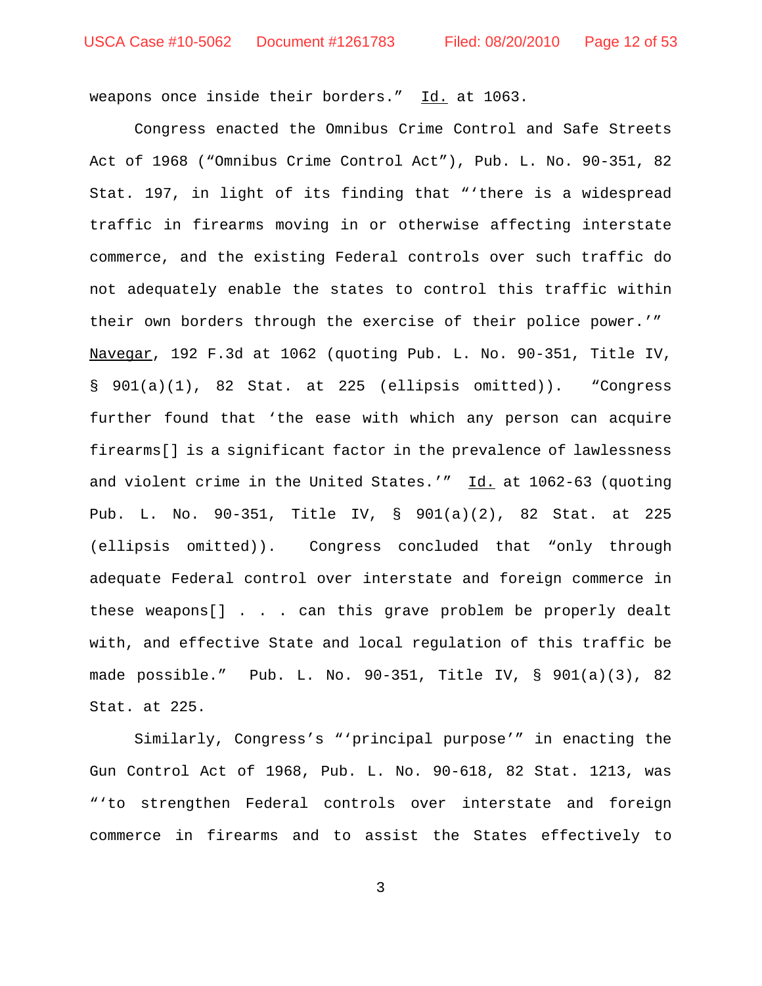weapons once inside their borders." Id. at 1063.

Congress enacted the Omnibus Crime Control and Safe Streets Act of 1968 ("Omnibus Crime Control Act"), Pub. L. No. 90-351, 82 Stat. 197, in light of its finding that "'there is a widespread traffic in firearms moving in or otherwise affecting interstate commerce, and the existing Federal controls over such traffic do not adequately enable the states to control this traffic within their own borders through the exercise of their police power.'" Navegar, 192 F.3d at 1062 (quoting Pub. L. No. 90-351, Title IV, § 901(a)(1), 82 Stat. at 225 (ellipsis omitted)). "Congress further found that 'the ease with which any person can acquire firearms[] is a significant factor in the prevalence of lawlessness and violent crime in the United States.'"  $\underline{Id.}$  at 1062-63 (quoting Pub. L. No. 90-351, Title IV, § 901(a)(2), 82 Stat. at 225 (ellipsis omitted)). Congress concluded that "only through adequate Federal control over interstate and foreign commerce in these weapons[] . . . can this grave problem be properly dealt with, and effective State and local regulation of this traffic be made possible." Pub. L. No. 90-351, Title IV, § 901(a)(3), 82 Stat. at 225.

Similarly, Congress's "'principal purpose'" in enacting the Gun Control Act of 1968, Pub. L. No. 90-618, 82 Stat. 1213, was "'to strengthen Federal controls over interstate and foreign commerce in firearms and to assist the States effectively to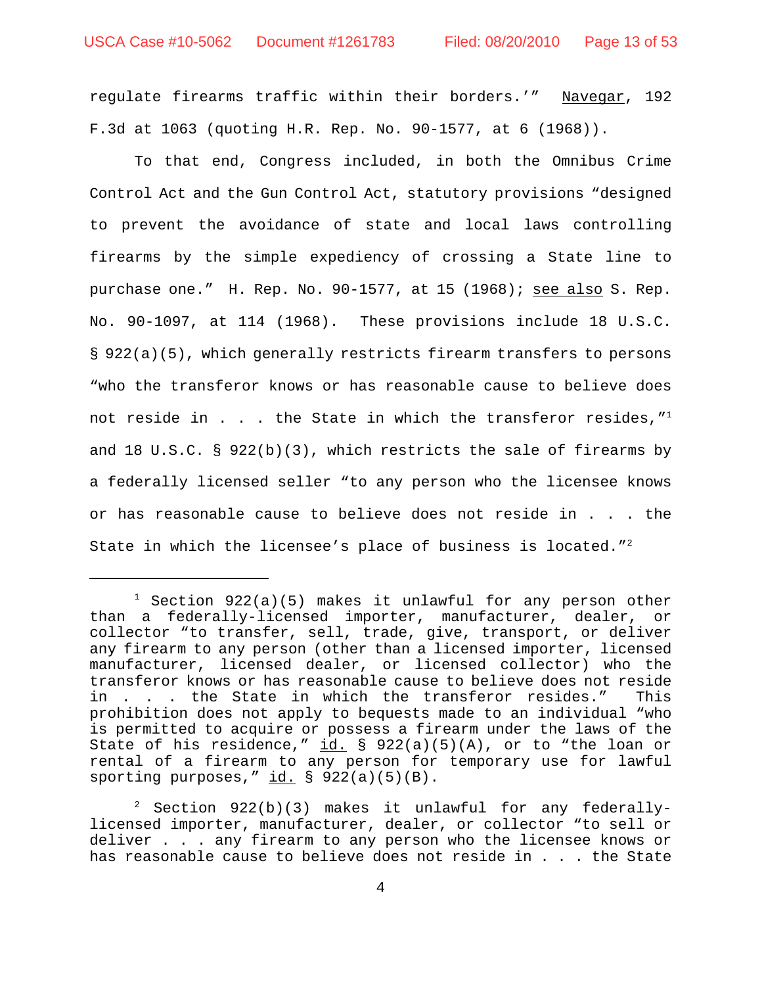regulate firearms traffic within their borders.'" Navegar, 192 F.3d at 1063 (quoting H.R. Rep. No. 90-1577, at 6 (1968)).

To that end, Congress included, in both the Omnibus Crime Control Act and the Gun Control Act, statutory provisions "designed to prevent the avoidance of state and local laws controlling firearms by the simple expediency of crossing a State line to purchase one." H. Rep. No.  $90-1577$ , at 15 (1968); see also S. Rep. No. 90-1097, at 114 (1968). These provisions include 18 U.S.C. § 922(a)(5), which generally restricts firearm transfers to persons "who the transferor knows or has reasonable cause to believe does not reside in . . . the State in which the transferor resides,  $''<sup>1</sup>$ and 18 U.S.C.  $\S$  922(b)(3), which restricts the sale of firearms by a federally licensed seller "to any person who the licensee knows or has reasonable cause to believe does not reside in . . . the State in which the licensee's place of business is located."<sup>2</sup>

 $1$  Section 922(a)(5) makes it unlawful for any person other than a federally-licensed importer, manufacturer, dealer, or collector "to transfer, sell, trade, give, transport, or deliver any firearm to any person (other than a licensed importer, licensed manufacturer, licensed dealer, or licensed collector) who the transferor knows or has reasonable cause to believe does not reside in . . . the State in which the transferor resides." This prohibition does not apply to bequests made to an individual "who is permitted to acquire or possess a firearm under the laws of the State of his residence,"  $id. \ S$  922(a)(5)(A), or to "the loan or rental of a firearm to any person for temporary use for lawful sporting purposes,"  $id. \S$  922(a)(5)(B).

 $2$  Section 922(b)(3) makes it unlawful for any federallylicensed importer, manufacturer, dealer, or collector "to sell or deliver . . . any firearm to any person who the licensee knows or has reasonable cause to believe does not reside in . . . the State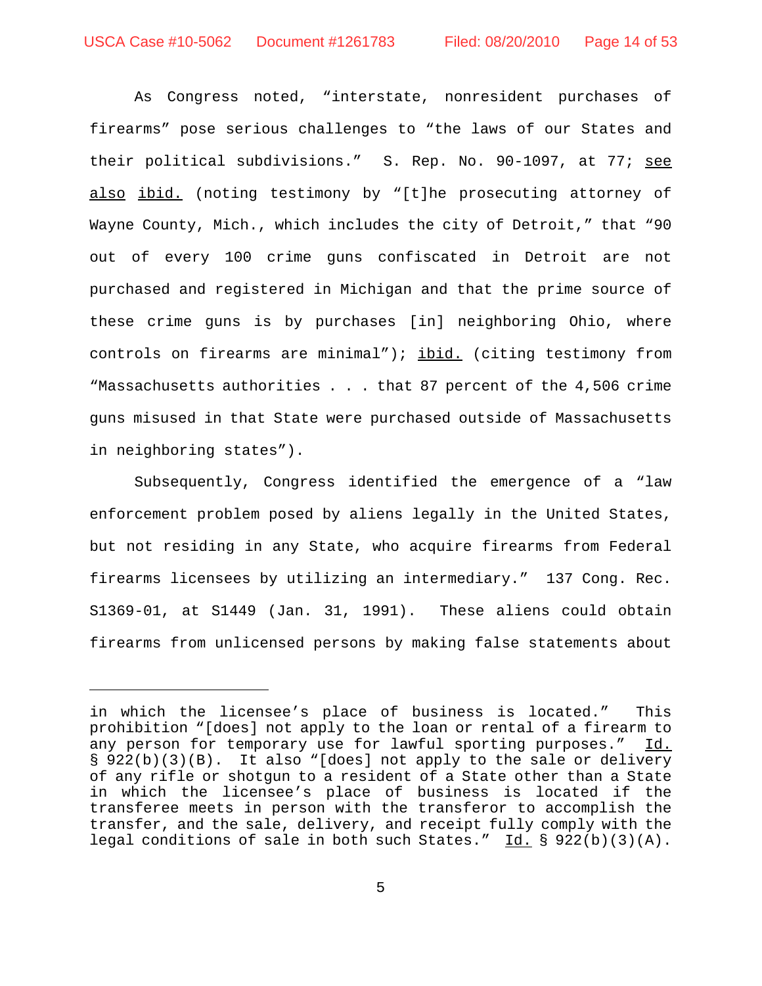As Congress noted, "interstate, nonresident purchases of firearms" pose serious challenges to "the laws of our States and their political subdivisions." S. Rep. No. 90-1097, at 77; see also ibid. (noting testimony by "[t]he prosecuting attorney of Wayne County, Mich., which includes the city of Detroit," that "90 out of every 100 crime guns confiscated in Detroit are not purchased and registered in Michigan and that the prime source of these crime guns is by purchases [in] neighboring Ohio, where controls on firearms are minimal"); ibid. (citing testimony from "Massachusetts authorities . . . that 87 percent of the 4,506 crime guns misused in that State were purchased outside of Massachusetts in neighboring states").

Subsequently, Congress identified the emergence of a "law enforcement problem posed by aliens legally in the United States, but not residing in any State, who acquire firearms from Federal firearms licensees by utilizing an intermediary." 137 Cong. Rec. S1369-01, at S1449 (Jan. 31, 1991). These aliens could obtain firearms from unlicensed persons by making false statements about

in which the licensee's place of business is located." This prohibition "[does] not apply to the loan or rental of a firearm to any person for temporary use for lawful sporting purposes." Id. § 922(b)(3)(B). It also "[does] not apply to the sale or delivery of any rifle or shotgun to a resident of a State other than a State in which the licensee's place of business is located if the transferee meets in person with the transferor to accomplish the transfer, and the sale, delivery, and receipt fully comply with the legal conditions of sale in both such States."  $\underline{Id.}$  § 922(b)(3)(A).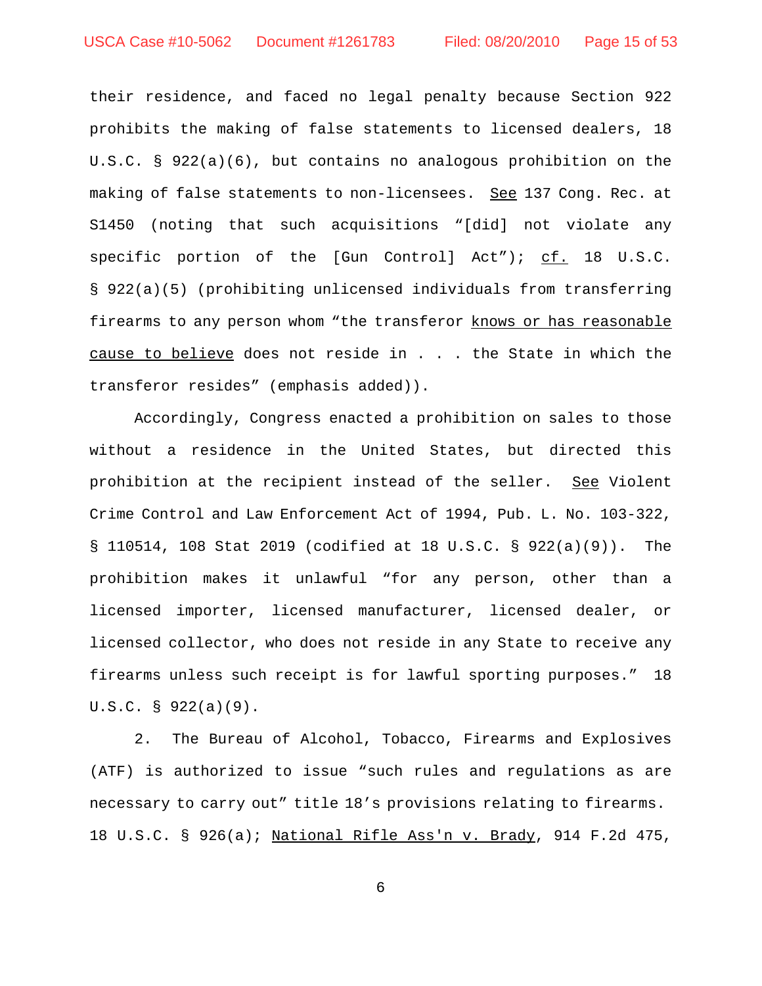their residence, and faced no legal penalty because Section 922 prohibits the making of false statements to licensed dealers, 18 U.S.C. § 922(a)(6), but contains no analogous prohibition on the making of false statements to non-licensees. See 137 Cong. Rec. at S1450 (noting that such acquisitions "[did] not violate any specific portion of the [Gun Control] Act"); cf. 18 U.S.C. § 922(a)(5) (prohibiting unlicensed individuals from transferring firearms to any person whom "the transferor knows or has reasonable cause to believe does not reside in . . . the State in which the transferor resides" (emphasis added)).

Accordingly, Congress enacted a prohibition on sales to those without a residence in the United States, but directed this prohibition at the recipient instead of the seller. See Violent Crime Control and Law Enforcement Act of 1994, Pub. L. No. 103-322, § 110514, 108 Stat 2019 (codified at 18 U.S.C. § 922(a)(9)). The prohibition makes it unlawful "for any person, other than a licensed importer, licensed manufacturer, licensed dealer, or licensed collector, who does not reside in any State to receive any firearms unless such receipt is for lawful sporting purposes." 18 U.S.C. § 922(a)(9).

2. The Bureau of Alcohol, Tobacco, Firearms and Explosives (ATF) is authorized to issue "such rules and regulations as are necessary to carry out" title 18's provisions relating to firearms. 18 U.S.C. § 926(a); National Rifle Ass'n v. Brady, 914 F.2d 475,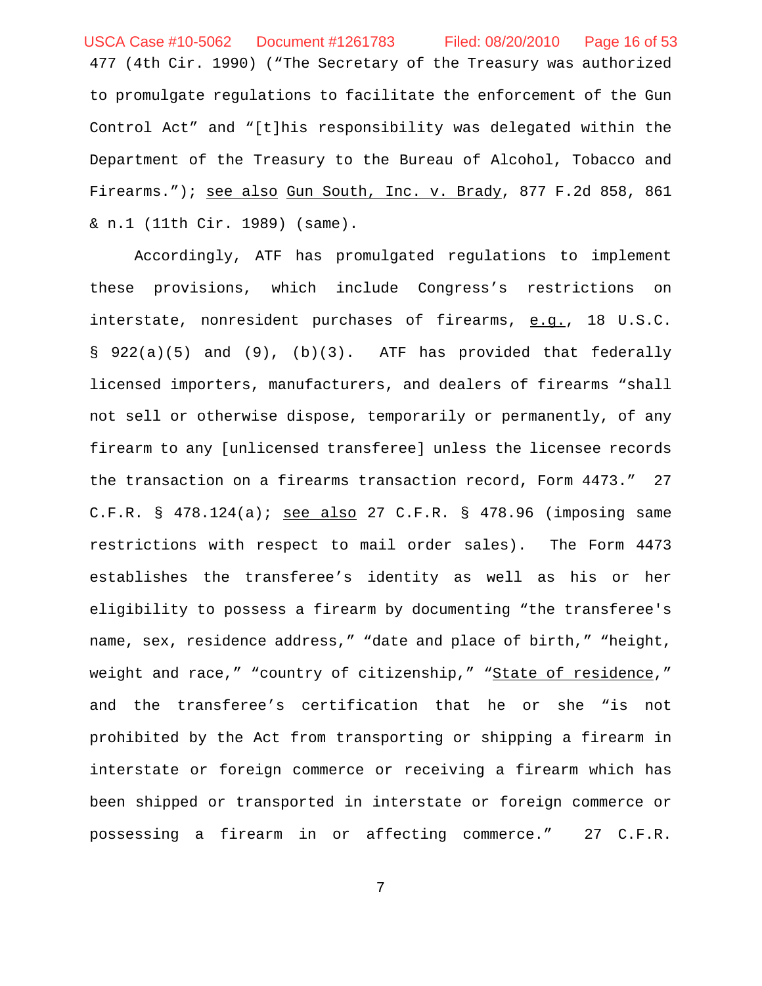477 (4th Cir. 1990) ("The Secretary of the Treasury was authorized to promulgate regulations to facilitate the enforcement of the Gun Control Act" and "[t]his responsibility was delegated within the Department of the Treasury to the Bureau of Alcohol, Tobacco and Firearms."); see also Gun South, Inc. v. Brady, 877 F.2d 858, 861 & n.1 (11th Cir. 1989) (same). USCA Case #10-5062 Document #1261783 Filed: 08/20/2010 Page 16 of 53

Accordingly, ATF has promulgated regulations to implement these provisions, which include Congress's restrictions on interstate, nonresident purchases of firearms, e.g., 18 U.S.C. § 922(a)(5) and (9), (b)(3). ATF has provided that federally licensed importers, manufacturers, and dealers of firearms "shall not sell or otherwise dispose, temporarily or permanently, of any firearm to any [unlicensed transferee] unless the licensee records the transaction on a firearms transaction record, Form 4473." 27 C.F.R. § 478.124(a); see also 27 C.F.R. § 478.96 (imposing same restrictions with respect to mail order sales). The Form 4473 establishes the transferee's identity as well as his or her eligibility to possess a firearm by documenting "the transferee's name, sex, residence address," "date and place of birth," "height, weight and race," "country of citizenship," "State of residence," and the transferee's certification that he or she "is not prohibited by the Act from transporting or shipping a firearm in interstate or foreign commerce or receiving a firearm which has been shipped or transported in interstate or foreign commerce or possessing a firearm in or affecting commerce." 27 C.F.R.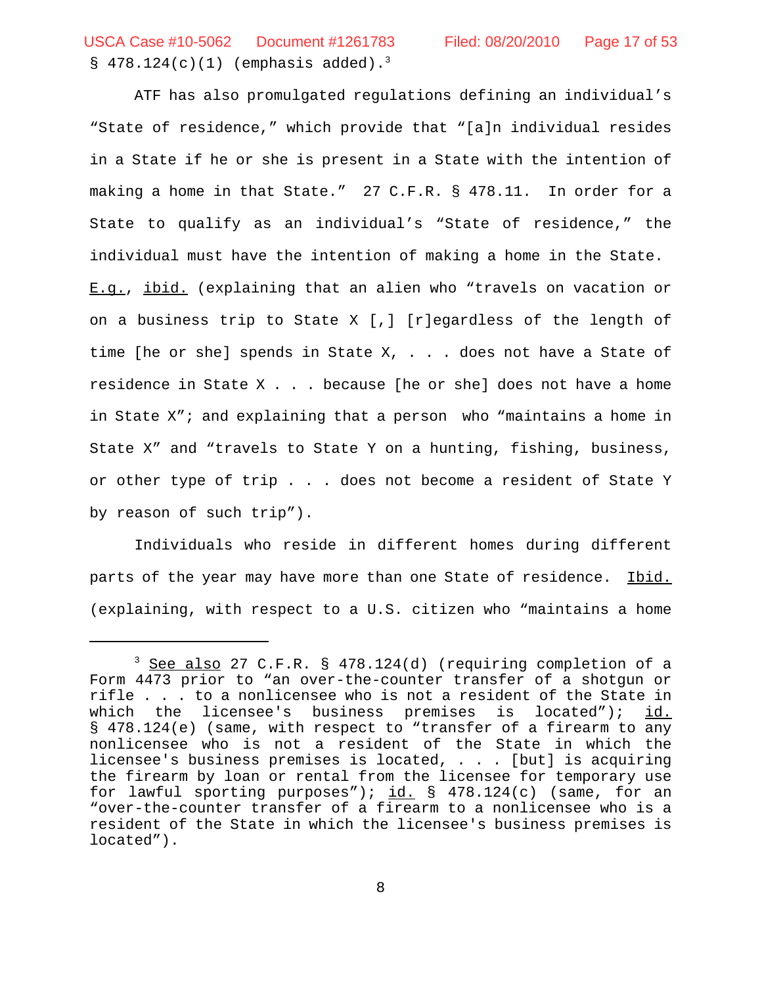$$478.124(c)(1)$  (emphasis added).<sup>3</sup> USCA Case #10-5062 Document #1261783 Filed: 08/20/2010 Page 17 of 53

ATF has also promulgated regulations defining an individual's "State of residence," which provide that "[a]n individual resides in a State if he or she is present in a State with the intention of making a home in that State." 27 C.F.R. § 478.11. In order for a State to qualify as an individual's "State of residence," the individual must have the intention of making a home in the State. E.g., ibid. (explaining that an alien who "travels on vacation or on a business trip to State X [,] [r]egardless of the length of time [he or she] spends in State  $X$ , . . . does not have a State of residence in State X . . . because [he or she] does not have a home in State X"; and explaining that a person who "maintains a home in State X" and "travels to State Y on a hunting, fishing, business, or other type of trip . . . does not become a resident of State Y by reason of such trip").

Individuals who reside in different homes during different parts of the year may have more than one State of residence. Ibid. (explaining, with respect to a U.S. citizen who "maintains a home

<sup>&</sup>lt;sup>3</sup> See also 27 C.F.R. § 478.124(d) (requiring completion of a Form 4473 prior to "an over-the-counter transfer of a shotgun or rifle . . . to a nonlicensee who is not a resident of the State in which the licensee's business premises is located");  $\frac{id.}{id.}$ § 478.124(e) (same, with respect to "transfer of a firearm to any nonlicensee who is not a resident of the State in which the licensee's business premises is located, . . . [but] is acquiring the firearm by loan or rental from the licensee for temporary use for lawful sporting purposes");  $id. \S$  478.124(c) (same, for an "over-the-counter transfer of a firearm to a nonlicensee who is a resident of the State in which the licensee's business premises is located").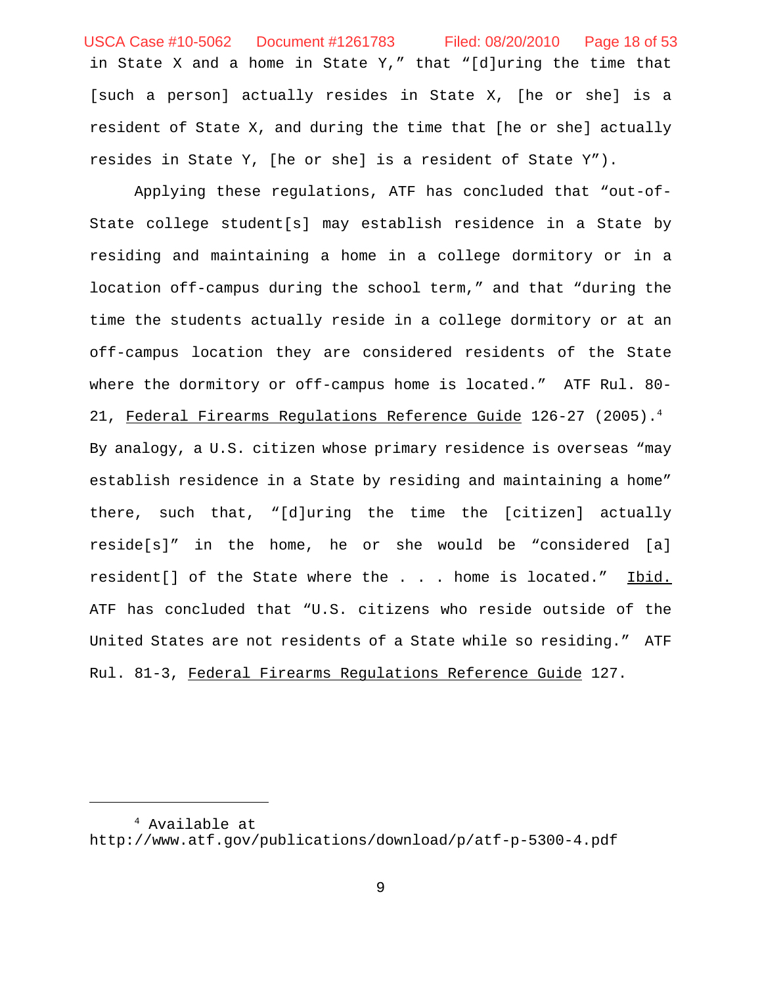in State X and a home in State Y," that "[d]uring the time that [such a person] actually resides in State X, [he or she] is a resident of State X, and during the time that [he or she] actually resides in State Y, [he or she] is a resident of State Y"). USCA Case #10-5062 Document #1261783 Filed: 08/20/2010 Page 18 of 53

Applying these regulations, ATF has concluded that "out-of-State college student[s] may establish residence in a State by residing and maintaining a home in a college dormitory or in a location off-campus during the school term," and that "during the time the students actually reside in a college dormitory or at an off-campus location they are considered residents of the State where the dormitory or off-campus home is located." ATF Rul. 80- 21, Federal Firearms Regulations Reference Guide 126-27 (2005).4 By analogy, a U.S. citizen whose primary residence is overseas "may establish residence in a State by residing and maintaining a home" there, such that, "[d]uring the time the [citizen] actually reside[s]" in the home, he or she would be "considered [a] resident[] of the State where the . . . home is located." Ibid. ATF has concluded that "U.S. citizens who reside outside of the United States are not residents of a State while so residing." ATF Rul. 81-3, Federal Firearms Regulations Reference Guide 127.

<sup>4</sup> Available at http://www.atf.gov/publications/download/p/atf-p-5300-4.pdf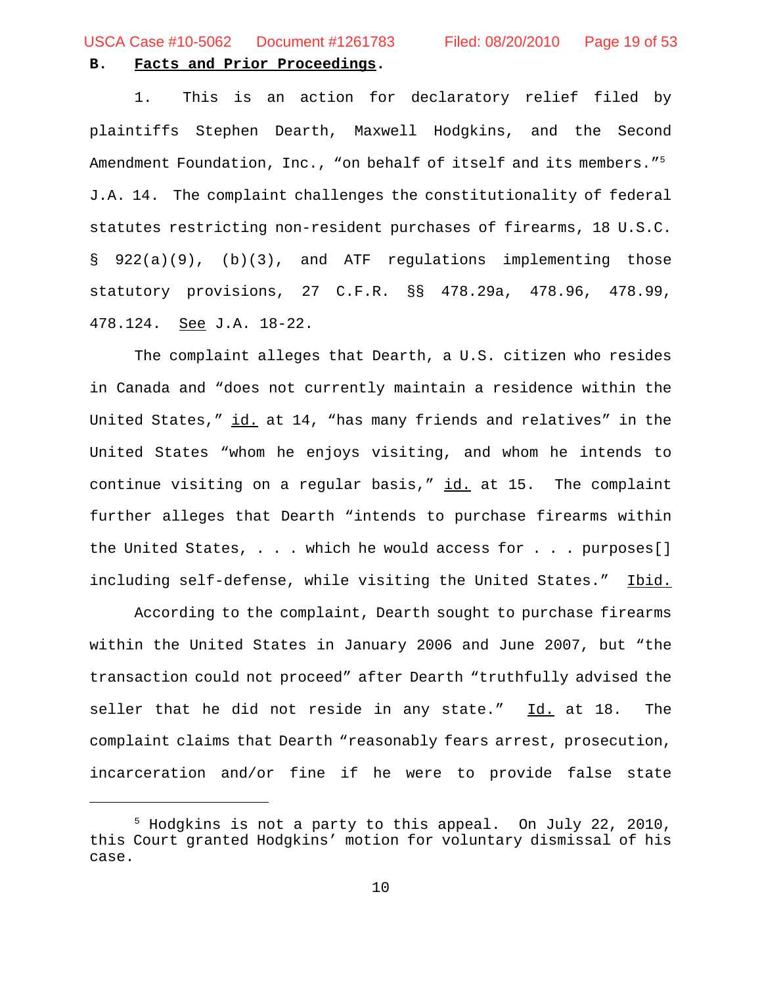USCA Case #10-5062 Document #1261783 Filed: 08/20/2010 Page 19 of 53

## **B. Facts and Prior Proceedings.**

1.This is an action for declaratory relief filed by plaintiffs Stephen Dearth, Maxwell Hodgkins, and the Second Amendment Foundation, Inc., "on behalf of itself and its members."<sup>5</sup> J.A. 14. The complaint challenges the constitutionality of federal statutes restricting non-resident purchases of firearms, 18 U.S.C. § 922(a)(9), (b)(3), and ATF regulations implementing those statutory provisions, 27 C.F.R. §§ 478.29a, 478.96, 478.99, 478.124. See J.A. 18-22.

The complaint alleges that Dearth, a U.S. citizen who resides in Canada and "does not currently maintain a residence within the United States," id. at 14, "has many friends and relatives" in the United States "whom he enjoys visiting, and whom he intends to continue visiting on a regular basis,"  $id.$  at 15. The complaint further alleges that Dearth "intends to purchase firearms within the United States, . . . which he would access for . . . purposes[] including self-defense, while visiting the United States." Ibid.

According to the complaint, Dearth sought to purchase firearms within the United States in January 2006 and June 2007, but "the transaction could not proceed" after Dearth "truthfully advised the seller that he did not reside in any state." Id. at 18. The complaint claims that Dearth "reasonably fears arrest, prosecution, incarceration and/or fine if he were to provide false state

<sup>5</sup> Hodgkins is not a party to this appeal. On July 22, 2010, this Court granted Hodgkins' motion for voluntary dismissal of his case.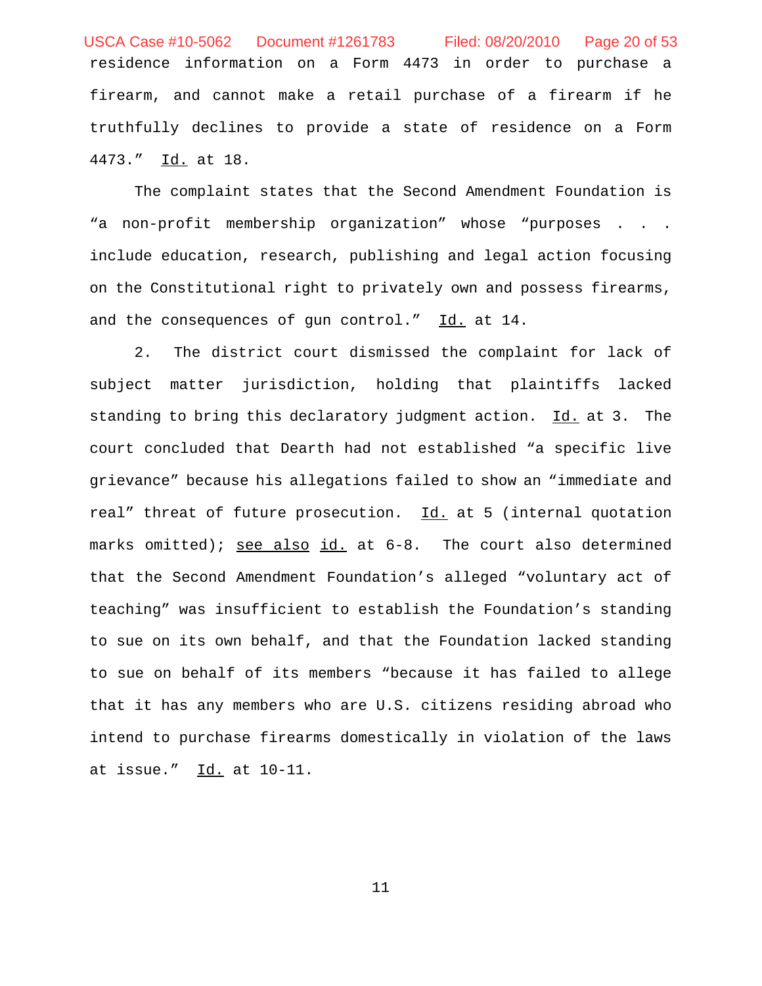residence information on a Form 4473 in order to purchase a firearm, and cannot make a retail purchase of a firearm if he truthfully declines to provide a state of residence on a Form 4473." Id. at 18. USCA Case #10-5062 Document #1261783 Filed: 08/20/2010 Page 20 of 53

The complaint states that the Second Amendment Foundation is "a non-profit membership organization" whose "purposes . . . include education, research, publishing and legal action focusing on the Constitutional right to privately own and possess firearms, and the consequences of gun control." Id. at 14.

2. The district court dismissed the complaint for lack of subject matter jurisdiction, holding that plaintiffs lacked standing to bring this declaratory judgment action.  $\underline{Id.}$  at 3. The court concluded that Dearth had not established "a specific live grievance" because his allegations failed to show an "immediate and real" threat of future prosecution. Id. at 5 (internal quotation marks omitted); see also id. at 6-8. The court also determined that the Second Amendment Foundation's alleged "voluntary act of teaching" was insufficient to establish the Foundation's standing to sue on its own behalf, and that the Foundation lacked standing to sue on behalf of its members "because it has failed to allege that it has any members who are U.S. citizens residing abroad who intend to purchase firearms domestically in violation of the laws at issue." Id. at 10-11.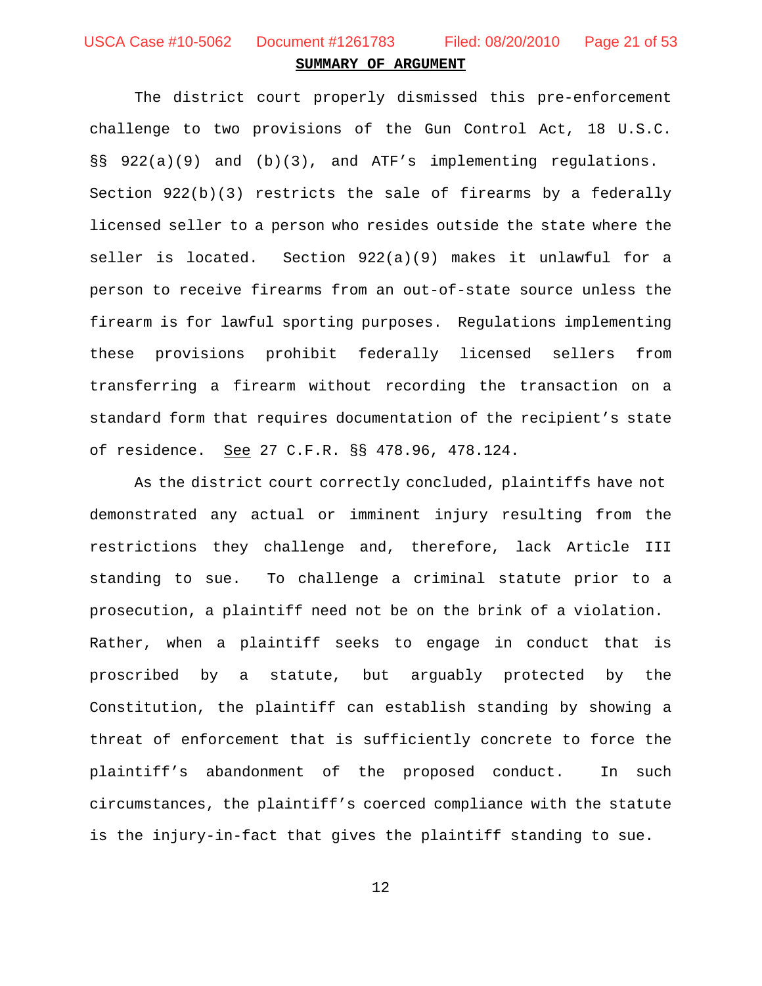USCA Case #10-5062 Document #1261783 Filed: 08/20/2010 Page 21 of 53

#### **SUMMARY OF ARGUMENT**

The district court properly dismissed this pre-enforcement challenge to two provisions of the Gun Control Act, 18 U.S.C. §§ 922(a)(9) and (b)(3), and ATF's implementing regulations. Section  $922(b)(3)$  restricts the sale of firearms by a federally licensed seller to a person who resides outside the state where the seller is located. Section  $922(a)(9)$  makes it unlawful for a person to receive firearms from an out-of-state source unless the firearm is for lawful sporting purposes. Regulations implementing these provisions prohibit federally licensed sellers from transferring a firearm without recording the transaction on a standard form that requires documentation of the recipient's state of residence. See 27 C.F.R. §§ 478.96, 478.124.

As the district court correctly concluded, plaintiffs have not demonstrated any actual or imminent injury resulting from the restrictions they challenge and, therefore, lack Article III standing to sue. To challenge a criminal statute prior to a prosecution, a plaintiff need not be on the brink of a violation. Rather, when a plaintiff seeks to engage in conduct that is proscribed by a statute, but arguably protected by the Constitution, the plaintiff can establish standing by showing a threat of enforcement that is sufficiently concrete to force the plaintiff's abandonment of the proposed conduct. In such circumstances, the plaintiff's coerced compliance with the statute is the injury-in-fact that gives the plaintiff standing to sue.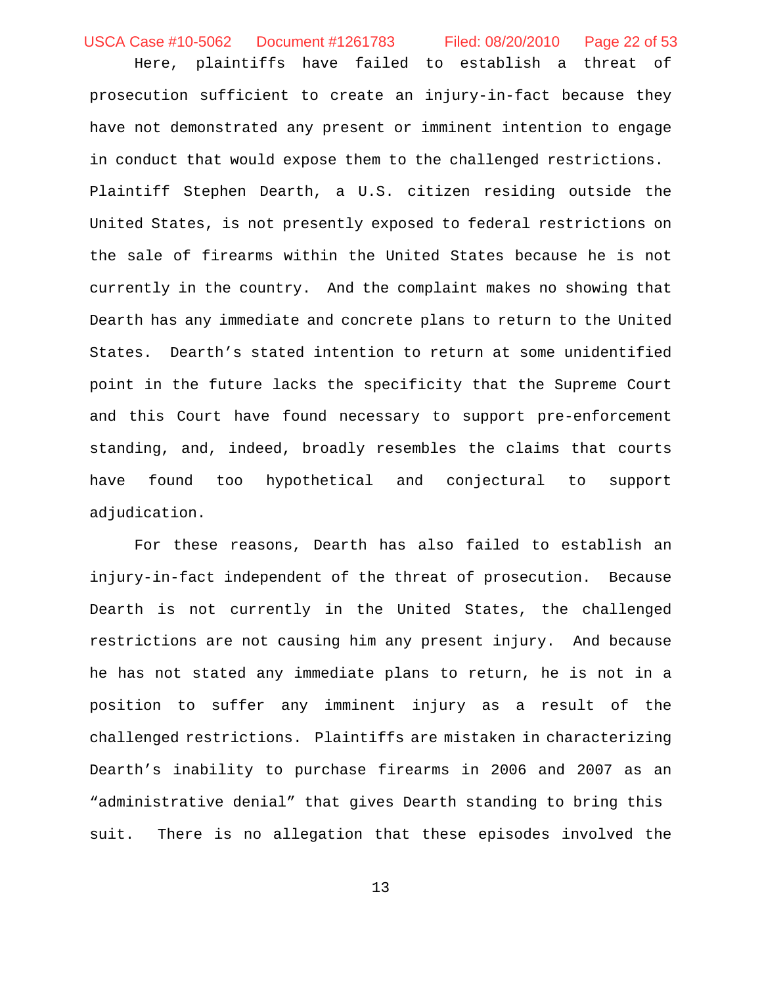USCA Case #10-5062 Document #1261783 Filed: 08/20/2010 Page 22 of 53

Here, plaintiffs have failed to establish a threat of prosecution sufficient to create an injury-in-fact because they have not demonstrated any present or imminent intention to engage in conduct that would expose them to the challenged restrictions. Plaintiff Stephen Dearth, a U.S. citizen residing outside the United States, is not presently exposed to federal restrictions on the sale of firearms within the United States because he is not currently in the country. And the complaint makes no showing that Dearth has any immediate and concrete plans to return to the United States. Dearth's stated intention to return at some unidentified point in the future lacks the specificity that the Supreme Court and this Court have found necessary to support pre-enforcement standing, and, indeed, broadly resembles the claims that courts have found too hypothetical and conjectural to support adjudication.

For these reasons, Dearth has also failed to establish an injury-in-fact independent of the threat of prosecution. Because Dearth is not currently in the United States, the challenged restrictions are not causing him any present injury. And because he has not stated any immediate plans to return, he is not in a position to suffer any imminent injury as a result of the challenged restrictions. Plaintiffs are mistaken in characterizing Dearth's inability to purchase firearms in 2006 and 2007 as an "administrative denial" that gives Dearth standing to bring this suit. There is no allegation that these episodes involved the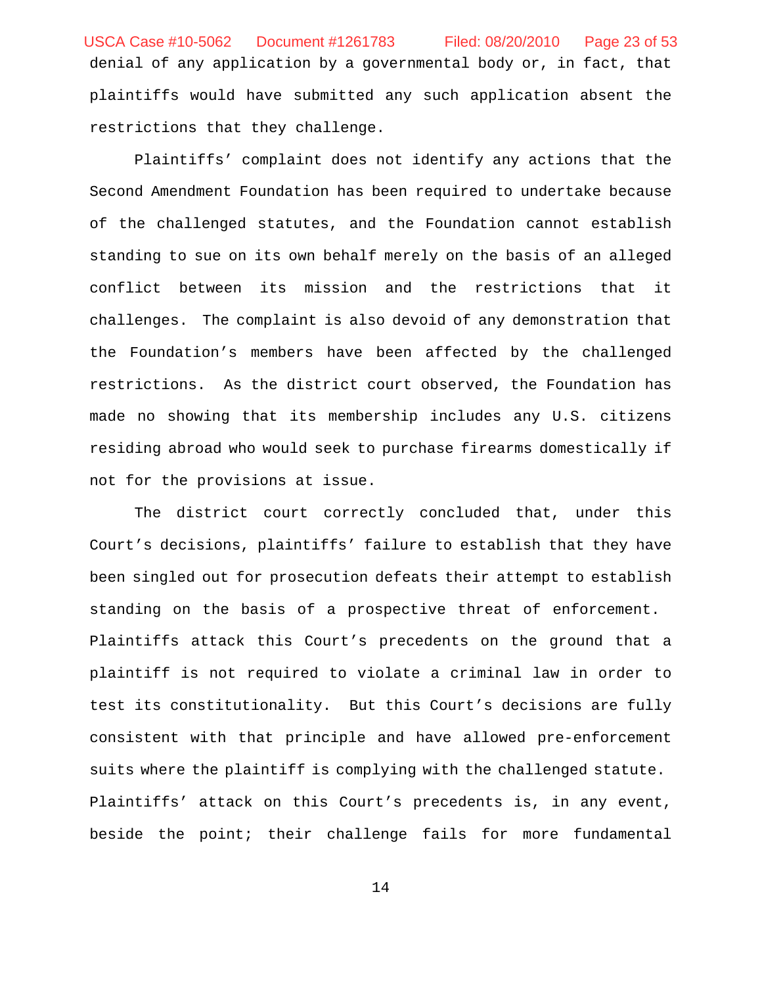denial of any application by a governmental body or, in fact, that plaintiffs would have submitted any such application absent the restrictions that they challenge. USCA Case #10-5062 Document #1261783 Filed: 08/20/2010 Page 23 of 53

Plaintiffs' complaint does not identify any actions that the Second Amendment Foundation has been required to undertake because of the challenged statutes, and the Foundation cannot establish standing to sue on its own behalf merely on the basis of an alleged conflict between its mission and the restrictions that it challenges. The complaint is also devoid of any demonstration that the Foundation's members have been affected by the challenged restrictions. As the district court observed, the Foundation has made no showing that its membership includes any U.S. citizens residing abroad who would seek to purchase firearms domestically if not for the provisions at issue.

The district court correctly concluded that, under this Court's decisions, plaintiffs' failure to establish that they have been singled out for prosecution defeats their attempt to establish standing on the basis of a prospective threat of enforcement. Plaintiffs attack this Court's precedents on the ground that a plaintiff is not required to violate a criminal law in order to test its constitutionality. But this Court's decisions are fully consistent with that principle and have allowed pre-enforcement suits where the plaintiff is complying with the challenged statute. Plaintiffs' attack on this Court's precedents is, in any event, beside the point; their challenge fails for more fundamental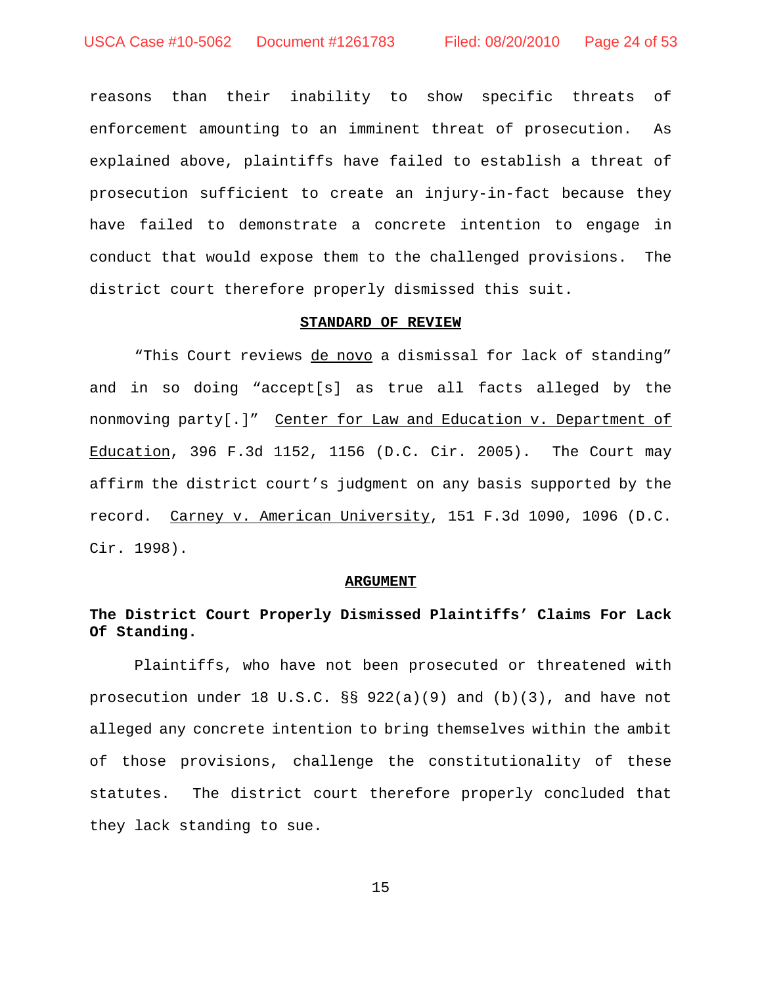reasons than their inability to show specific threats of enforcement amounting to an imminent threat of prosecution. As explained above, plaintiffs have failed to establish a threat of prosecution sufficient to create an injury-in-fact because they have failed to demonstrate a concrete intention to engage in conduct that would expose them to the challenged provisions. The district court therefore properly dismissed this suit.

#### **STANDARD OF REVIEW**

"This Court reviews de novo a dismissal for lack of standing" and in so doing "accept[s] as true all facts alleged by the nonmoving party[.]" Center for Law and Education v. Department of Education, 396 F.3d 1152, 1156 (D.C. Cir. 2005). The Court may affirm the district court's judgment on any basis supported by the record. Carney v. American University, 151 F.3d 1090, 1096 (D.C. Cir. 1998).

#### **ARGUMENT**

## **The District Court Properly Dismissed Plaintiffs' Claims For Lack Of Standing.**

Plaintiffs, who have not been prosecuted or threatened with prosecution under 18 U.S.C. §§ 922(a)(9) and (b)(3), and have not alleged any concrete intention to bring themselves within the ambit of those provisions, challenge the constitutionality of these statutes. The district court therefore properly concluded that they lack standing to sue.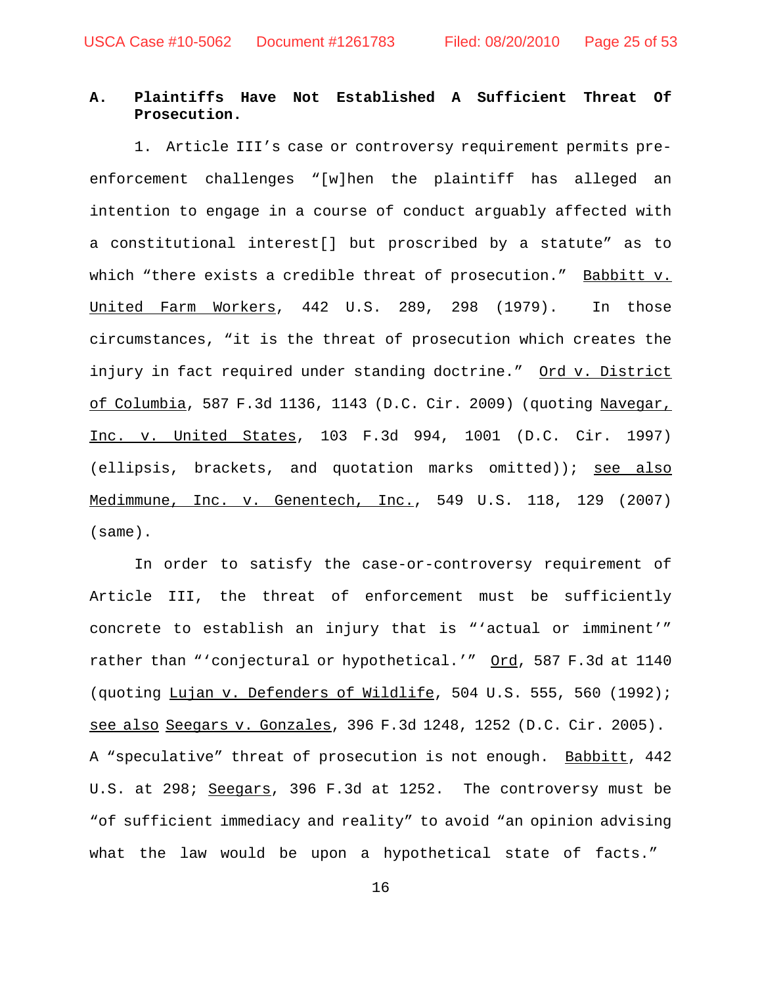## **A. Plaintiffs Have Not Established A Sufficient Threat Of Prosecution.**

1. Article III's case or controversy requirement permits preenforcement challenges "[w]hen the plaintiff has alleged an intention to engage in a course of conduct arguably affected with a constitutional interest[] but proscribed by a statute" as to which "there exists a credible threat of prosecution." Babbitt v. United Farm Workers, 442 U.S. 289, 298 (1979). In those circumstances, "it is the threat of prosecution which creates the injury in fact required under standing doctrine." Ord v. District of Columbia, 587 F.3d 1136, 1143 (D.C. Cir. 2009) (quoting Navegar, Inc. v. United States, 103 F.3d 994, 1001 (D.C. Cir. 1997)  $(ellipsis, brackets, and quotation marks omitted)$ ; see also Medimmune, Inc. v. Genentech, Inc., 549 U.S. 118, 129 (2007) (same).

In order to satisfy the case-or-controversy requirement of Article III, the threat of enforcement must be sufficiently concrete to establish an injury that is "'actual or imminent'" rather than "'conjectural or hypothetical.'" Ord, 587 F.3d at 1140 (quoting Lujan v. Defenders of Wildlife, 504 U.S. 555, 560 (1992); see also Seegars v. Gonzales, 396 F.3d 1248, 1252 (D.C. Cir. 2005). A "speculative" threat of prosecution is not enough. Babbitt, 442 U.S. at 298; Seegars, 396 F.3d at 1252. The controversy must be "of sufficient immediacy and reality" to avoid "an opinion advising what the law would be upon a hypothetical state of facts."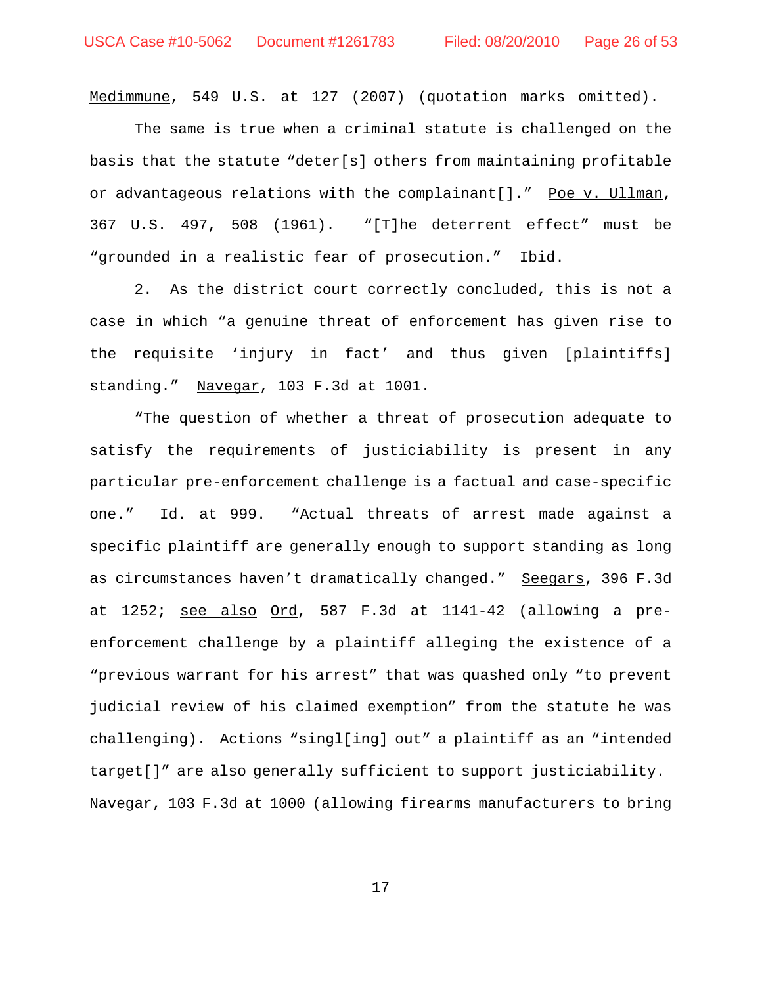Medimmune, 549 U.S. at 127 (2007) (quotation marks omitted).

The same is true when a criminal statute is challenged on the basis that the statute "deter[s] others from maintaining profitable or advantageous relations with the complainant[]." Poe v. Ullman, 367 U.S. 497, 508 (1961). "[T]he deterrent effect" must be "grounded in a realistic fear of prosecution." Ibid.

2. As the district court correctly concluded, this is not a case in which "a genuine threat of enforcement has given rise to the requisite 'injury in fact' and thus given [plaintiffs] standing." Navegar, 103 F.3d at 1001.

"The question of whether a threat of prosecution adequate to satisfy the requirements of justiciability is present in any particular pre-enforcement challenge is a factual and case-specific one." Id. at 999. "Actual threats of arrest made against a specific plaintiff are generally enough to support standing as long as circumstances haven't dramatically changed." Seegars, 396 F.3d at  $1252$ ; see also  $Ord, 587$  F.3d at  $1141-42$  (allowing a preenforcement challenge by a plaintiff alleging the existence of a "previous warrant for his arrest" that was quashed only "to prevent judicial review of his claimed exemption" from the statute he was challenging). Actions "singl[ing] out" a plaintiff as an "intended target[]" are also generally sufficient to support justiciability. Navegar, 103 F.3d at 1000 (allowing firearms manufacturers to bring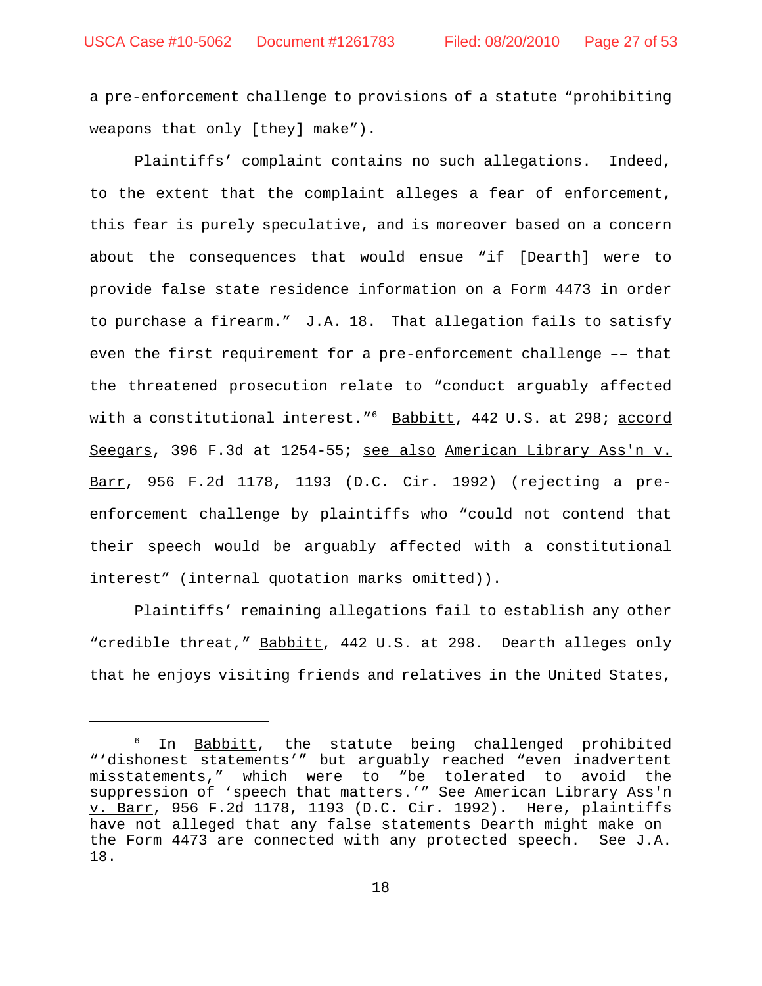a pre-enforcement challenge to provisions of a statute "prohibiting weapons that only [they] make").

Plaintiffs' complaint contains no such allegations. Indeed, to the extent that the complaint alleges a fear of enforcement, this fear is purely speculative, and is moreover based on a concern about the consequences that would ensue "if [Dearth] were to provide false state residence information on a Form 4473 in order to purchase a firearm." J.A. 18. That allegation fails to satisfy even the first requirement for a pre-enforcement challenge –– that the threatened prosecution relate to "conduct arguably affected with a constitutional interest."<sup>6</sup> Babbitt, 442 U.S. at 298; accord Seegars, 396 F.3d at 1254-55; see also American Library Ass'n v. Barr, 956 F.2d 1178, 1193 (D.C. Cir. 1992) (rejecting a preenforcement challenge by plaintiffs who "could not contend that their speech would be arguably affected with a constitutional interest" (internal quotation marks omitted)).

Plaintiffs' remaining allegations fail to establish any other "credible threat," Babbitt, 442 U.S. at 298. Dearth alleges only that he enjoys visiting friends and relatives in the United States,

<sup>&</sup>lt;sup>6</sup> In <u>Babbitt</u>, the statute being challenged prohibited "'dishonest statements'" but arguably reached "even inadvertent misstatements," which were to "be tolerated to avoid the suppression of 'speech that matters.'" See American Library Ass'n v. Barr, 956 F.2d 1178, 1193 (D.C. Cir. 1992). Here, plaintiffs have not alleged that any false statements Dearth might make on the Form 4473 are connected with any protected speech. See J.A. 18.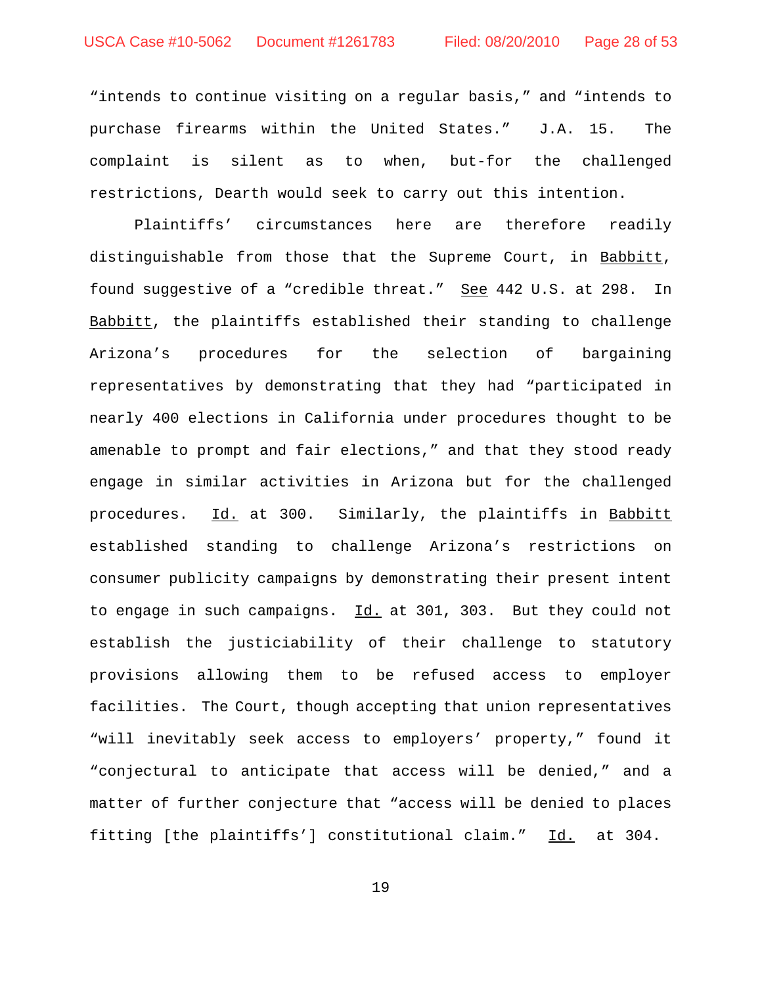"intends to continue visiting on a regular basis," and "intends to purchase firearms within the United States." J.A. 15. The complaint is silent as to when, but-for the challenged restrictions, Dearth would seek to carry out this intention.

Plaintiffs' circumstances here are therefore readily distinguishable from those that the Supreme Court, in Babbitt, found suggestive of a "credible threat." See 442 U.S. at 298. In Babbitt, the plaintiffs established their standing to challenge Arizona's procedures for the selection of bargaining representatives by demonstrating that they had "participated in nearly 400 elections in California under procedures thought to be amenable to prompt and fair elections," and that they stood ready engage in similar activities in Arizona but for the challenged procedures. Id. at 300. Similarly, the plaintiffs in Babbitt established standing to challenge Arizona's restrictions on consumer publicity campaigns by demonstrating their present intent to engage in such campaigns. Id. at 301, 303. But they could not establish the justiciability of their challenge to statutory provisions allowing them to be refused access to employer facilities. The Court, though accepting that union representatives "will inevitably seek access to employers' property," found it "conjectural to anticipate that access will be denied," and a matter of further conjecture that "access will be denied to places fitting [the plaintiffs'] constitutional claim." Id. at 304.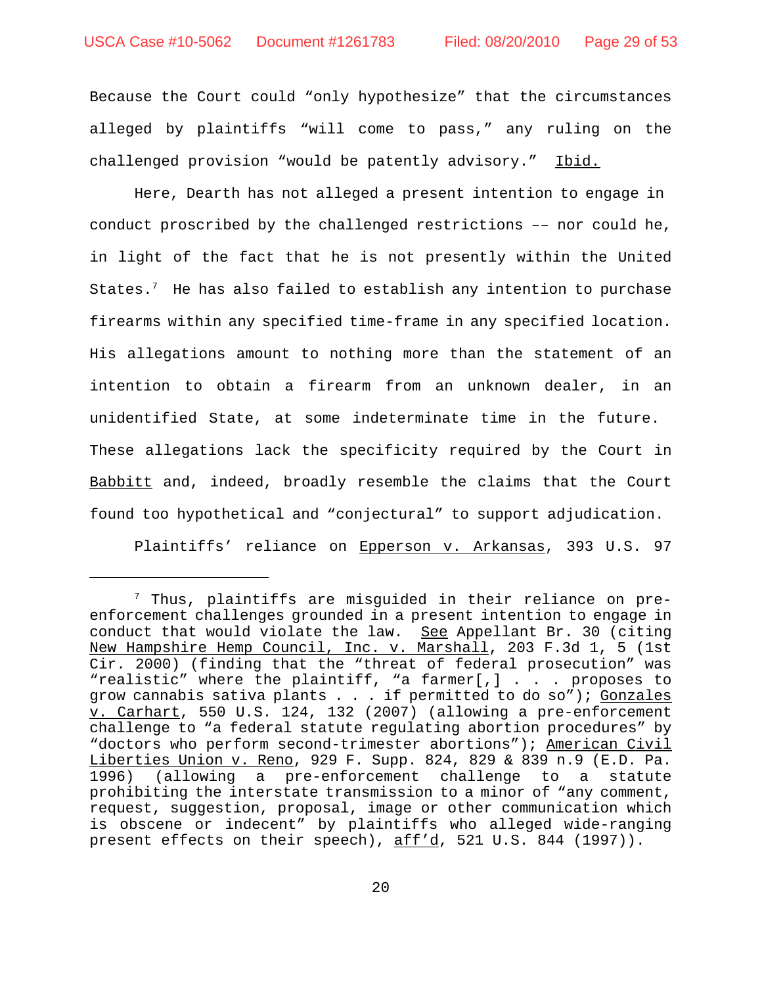Because the Court could "only hypothesize" that the circumstances alleged by plaintiffs "will come to pass," any ruling on the challenged provision "would be patently advisory." Ibid.

Here, Dearth has not alleged a present intention to engage in conduct proscribed by the challenged restrictions –– nor could he, in light of the fact that he is not presently within the United States. $^7$  He has also failed to establish any intention to purchase firearms within any specified time-frame in any specified location. His allegations amount to nothing more than the statement of an intention to obtain a firearm from an unknown dealer, in an unidentified State, at some indeterminate time in the future. These allegations lack the specificity required by the Court in Babbitt and, indeed, broadly resemble the claims that the Court found too hypothetical and "conjectural" to support adjudication.

Plaintiffs' reliance on Epperson v. Arkansas, 393 U.S. 97

 $7$  Thus, plaintiffs are misguided in their reliance on preenforcement challenges grounded in a present intention to engage in conduct that would violate the law. See Appellant Br. 30 (citing New Hampshire Hemp Council, Inc. v. Marshall, 203 F.3d 1, 5 (1st Cir. 2000) (finding that the "threat of federal prosecution" was "realistic" where the plaintiff, "a farmer[,] . . . proposes to grow cannabis sativa plants . . . if permitted to do so"); Gonzales v. Carhart, 550 U.S. 124, 132 (2007) (allowing a pre-enforcement challenge to "a federal statute regulating abortion procedures" by "doctors who perform second-trimester abortions"); American Civil Liberties Union v. Reno, 929 F. Supp. 824, 829 & 839 n.9 (E.D. Pa. 1996) (allowing a pre-enforcement challenge to a statute prohibiting the interstate transmission to a minor of "any comment, request, suggestion, proposal, image or other communication which is obscene or indecent" by plaintiffs who alleged wide-ranging present effects on their speech), aff'd, 521 U.S. 844 (1997)).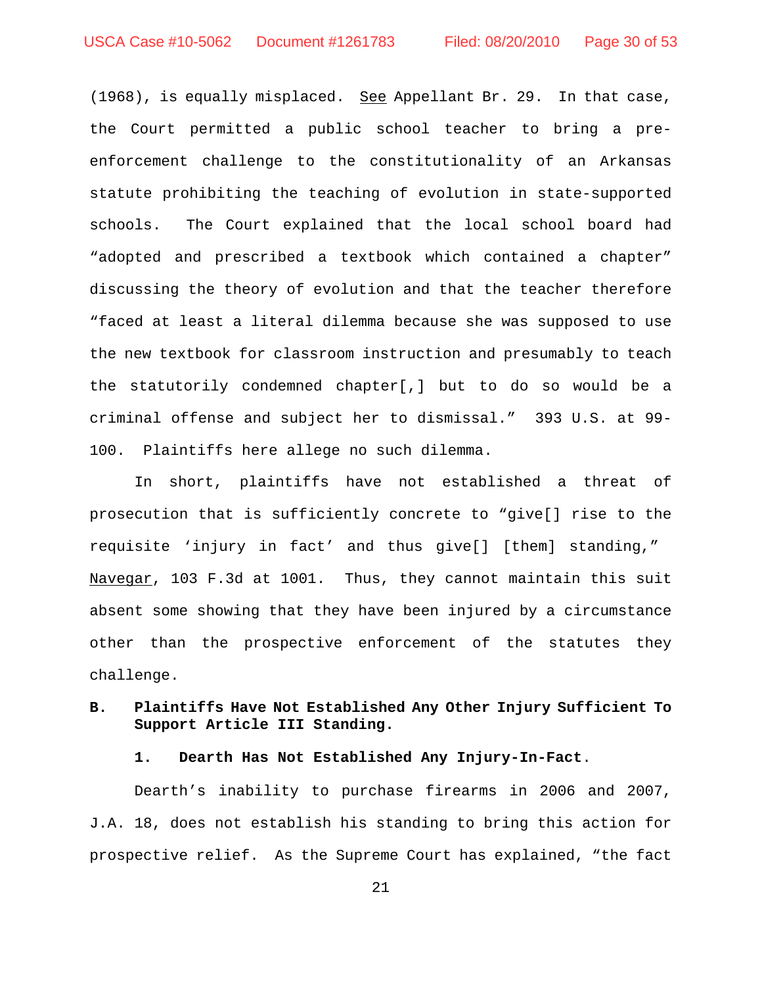(1968), is equally misplaced. See Appellant Br. 29. In that case, the Court permitted a public school teacher to bring a preenforcement challenge to the constitutionality of an Arkansas statute prohibiting the teaching of evolution in state-supported schools. The Court explained that the local school board had "adopted and prescribed a textbook which contained a chapter" discussing the theory of evolution and that the teacher therefore "faced at least a literal dilemma because she was supposed to use the new textbook for classroom instruction and presumably to teach the statutorily condemned chapter[,] but to do so would be a criminal offense and subject her to dismissal." 393 U.S. at 99- 100. Plaintiffs here allege no such dilemma.

In short, plaintiffs have not established a threat of prosecution that is sufficiently concrete to "give[] rise to the requisite 'injury in fact' and thus give[] [them] standing," Navegar, 103 F.3d at 1001. Thus, they cannot maintain this suit absent some showing that they have been injured by a circumstance other than the prospective enforcement of the statutes they challenge.

## **B. Plaintiffs Have Not Established Any Other Injury Sufficient To Support Article III Standing.**

**1. Dearth Has Not Established Any Injury-In-Fact**.

Dearth's inability to purchase firearms in 2006 and 2007, J.A. 18, does not establish his standing to bring this action for prospective relief. As the Supreme Court has explained, "the fact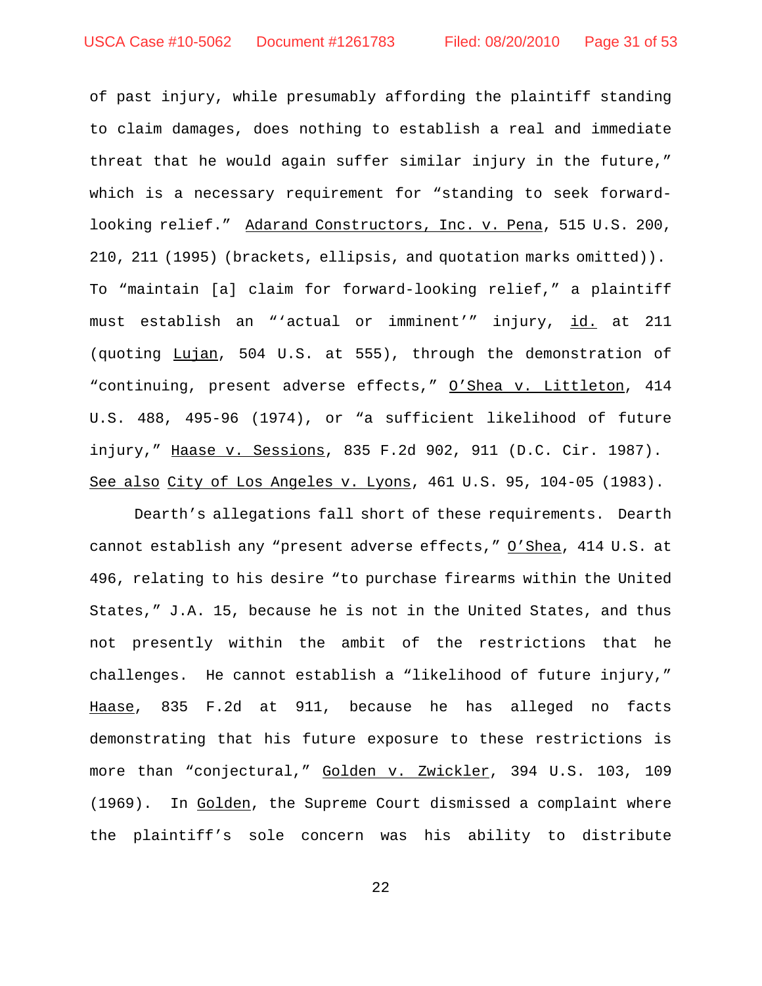of past injury, while presumably affording the plaintiff standing to claim damages, does nothing to establish a real and immediate threat that he would again suffer similar injury in the future," which is a necessary requirement for "standing to seek forwardlooking relief." Adarand Constructors, Inc. v. Pena, 515 U.S. 200, 210, 211 (1995) (brackets, ellipsis, and quotation marks omitted)). To "maintain [a] claim for forward-looking relief," a plaintiff must establish an "'actual or imminent'" injury, id. at 211 (quoting Lujan, 504 U.S. at 555), through the demonstration of "continuing, present adverse effects," O'Shea v. Littleton, 414 U.S. 488, 495-96 (1974), or "a sufficient likelihood of future injury," Haase v. Sessions, 835 F.2d 902, 911 (D.C. Cir. 1987). See also City of Los Angeles v. Lyons, 461 U.S. 95, 104-05 (1983).

Dearth's allegations fall short of these requirements. Dearth cannot establish any "present adverse effects," O'Shea, 414 U.S. at 496, relating to his desire "to purchase firearms within the United States," J.A. 15, because he is not in the United States, and thus not presently within the ambit of the restrictions that he challenges. He cannot establish a "likelihood of future injury," Haase, 835 F.2d at 911, because he has alleged no facts demonstrating that his future exposure to these restrictions is more than "conjectural," Golden v. Zwickler, 394 U.S. 103, 109 (1969). In Golden, the Supreme Court dismissed a complaint where the plaintiff's sole concern was his ability to distribute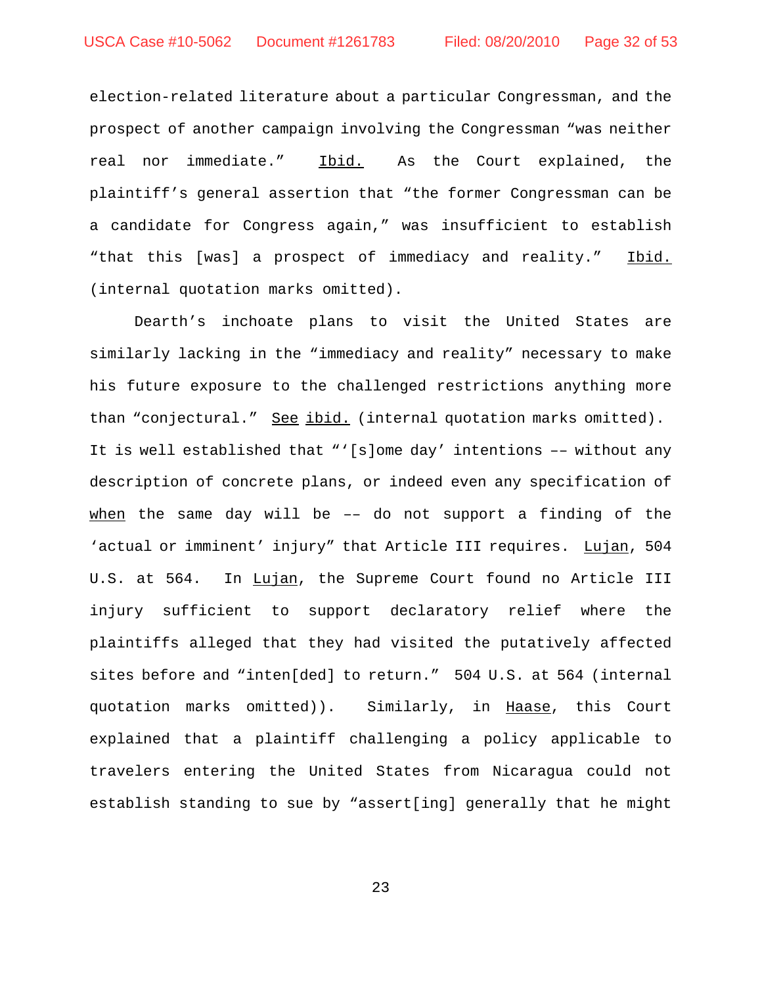election-related literature about a particular Congressman, and the prospect of another campaign involving the Congressman "was neither real nor immediate." Ibid. As the Court explained, the plaintiff's general assertion that "the former Congressman can be a candidate for Congress again," was insufficient to establish "that this [was] a prospect of immediacy and reality." Ibid. (internal quotation marks omitted).

Dearth's inchoate plans to visit the United States are similarly lacking in the "immediacy and reality" necessary to make his future exposure to the challenged restrictions anything more than "conjectural." See ibid. (internal quotation marks omitted). It is well established that "'[s]ome day' intentions –– without any description of concrete plans, or indeed even any specification of when the same day will be  $-$  do not support a finding of the 'actual or imminent' injury" that Article III requires. Lujan, 504 U.S. at 564. In Lujan, the Supreme Court found no Article III injury sufficient to support declaratory relief where the plaintiffs alleged that they had visited the putatively affected sites before and "inten[ded] to return." 504 U.S. at 564 (internal quotation marks omitted)). Similarly, in Haase, this Court explained that a plaintiff challenging a policy applicable to travelers entering the United States from Nicaragua could not establish standing to sue by "assert[ing] generally that he might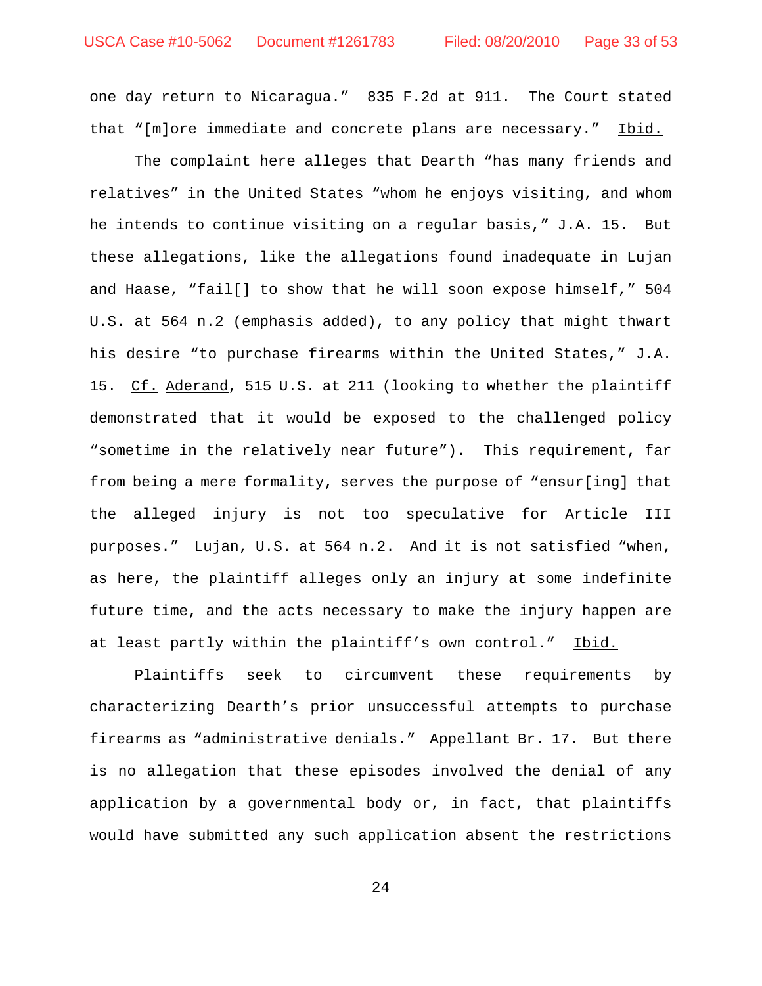one day return to Nicaragua." 835 F.2d at 911. The Court stated that "[m]ore immediate and concrete plans are necessary." Ibid.

The complaint here alleges that Dearth "has many friends and relatives" in the United States "whom he enjoys visiting, and whom he intends to continue visiting on a regular basis," J.A. 15. But these allegations, like the allegations found inadequate in Lujan and Haase, "fail[] to show that he will soon expose himself," 504 U.S. at 564 n.2 (emphasis added), to any policy that might thwart his desire "to purchase firearms within the United States," J.A. 15. Cf. Aderand, 515 U.S. at 211 (looking to whether the plaintiff demonstrated that it would be exposed to the challenged policy "sometime in the relatively near future"). This requirement, far from being a mere formality, serves the purpose of "ensur[ing] that the alleged injury is not too speculative for Article III purposes." Lujan, U.S. at 564 n.2. And it is not satisfied "when, as here, the plaintiff alleges only an injury at some indefinite future time, and the acts necessary to make the injury happen are at least partly within the plaintiff's own control." Ibid.

Plaintiffs seek to circumvent these requirements by characterizing Dearth's prior unsuccessful attempts to purchase firearms as "administrative denials." Appellant Br. 17. But there is no allegation that these episodes involved the denial of any application by a governmental body or, in fact, that plaintiffs would have submitted any such application absent the restrictions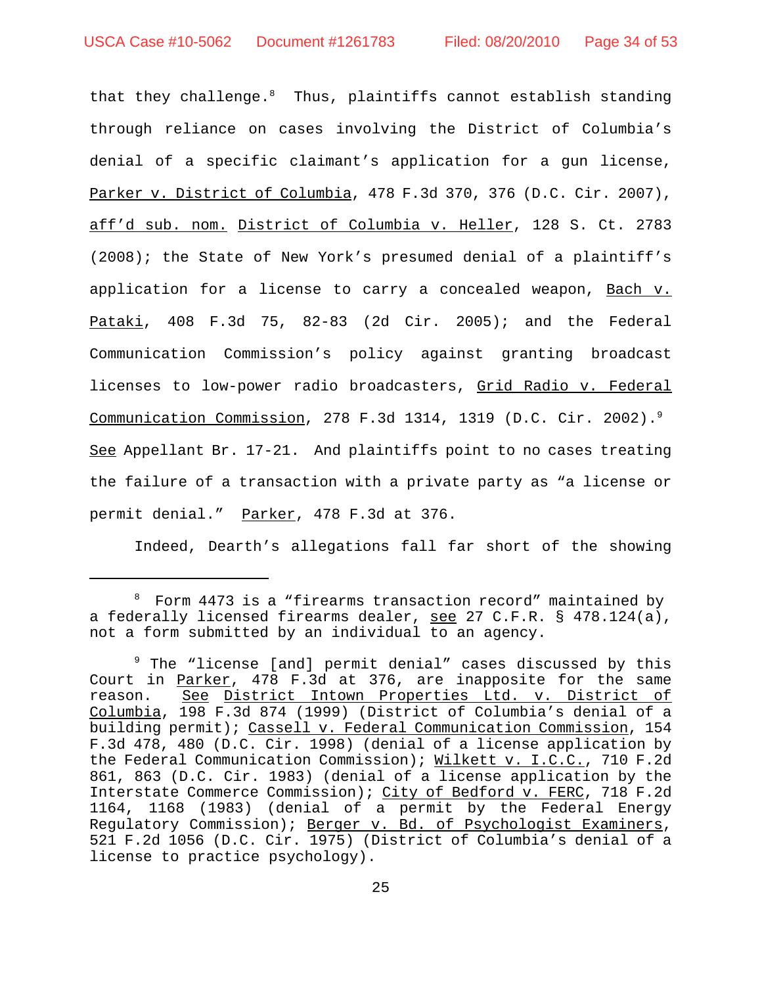that they challenge.<sup>8</sup> Thus, plaintiffs cannot establish standing through reliance on cases involving the District of Columbia's denial of a specific claimant's application for a gun license, Parker v. District of Columbia, 478 F.3d 370, 376 (D.C. Cir. 2007), aff'd sub. nom. District of Columbia v. Heller, 128 S. Ct. 2783 (2008); the State of New York's presumed denial of a plaintiff's application for a license to carry a concealed weapon, Bach v. Pataki, 408 F.3d 75, 82-83 (2d Cir. 2005); and the Federal Communication Commission's policy against granting broadcast licenses to low-power radio broadcasters, Grid Radio v. Federal Communication Commission, 278 F.3d 1314, 1319 (D.C. Cir. 2002).9 See Appellant Br. 17-21. And plaintiffs point to no cases treating the failure of a transaction with a private party as "a license or permit denial." Parker, 478 F.3d at 376.

Indeed, Dearth's allegations fall far short of the showing

<sup>8</sup> Form 4473 is a "firearms transaction record" maintained by a federally licensed firearms dealer, see 27 C.F.R. § 478.124(a), not a form submitted by an individual to an agency.

<sup>&</sup>lt;sup>9</sup> The "license [and] permit denial" cases discussed by this Court in Parker, 478 F.3d at 376, are inapposite for the same reason. See District Intown Properties Ltd. v. District of Columbia, 198 F.3d 874 (1999) (District of Columbia's denial of a building permit); Cassell v. Federal Communication Commission, 154 F.3d 478, 480 (D.C. Cir. 1998) (denial of a license application by the Federal Communication Commission); Wilkett v. I.C.C., 710 F.2d 861, 863 (D.C. Cir. 1983) (denial of a license application by the Interstate Commerce Commission); City of Bedford v. FERC, 718 F.2d 1164, 1168 (1983) (denial of a permit by the Federal Energy Regulatory Commission); Berger v. Bd. of Psychologist Examiners, 521 F.2d 1056 (D.C. Cir. 1975) (District of Columbia's denial of a license to practice psychology).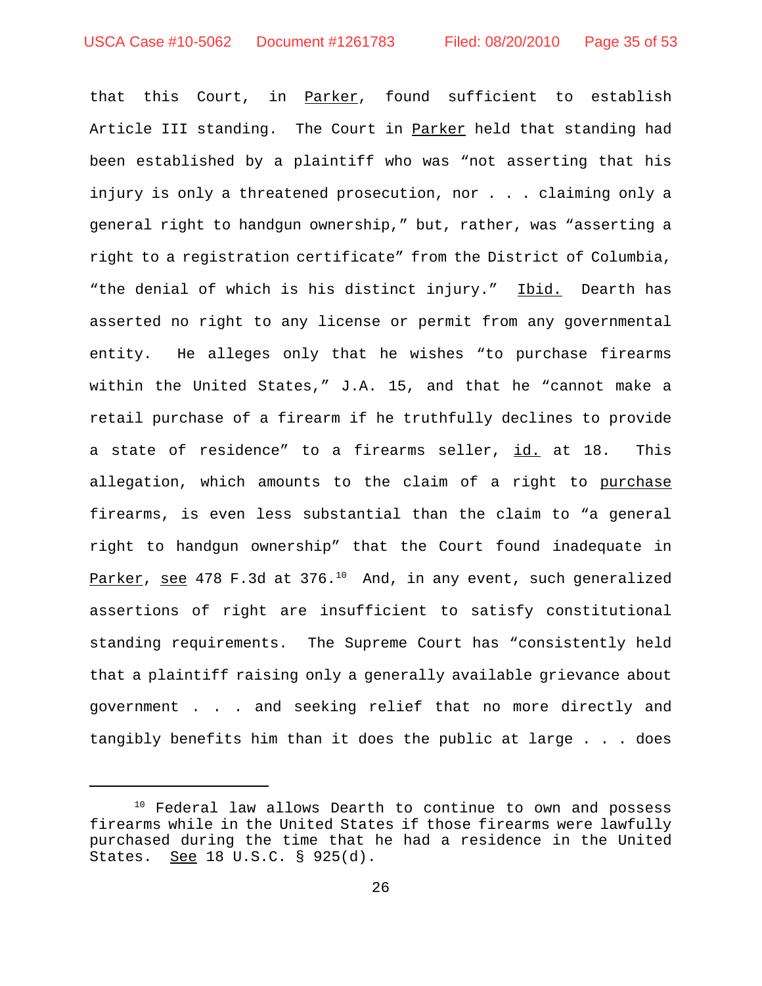that this Court, in Parker, found sufficient to establish Article III standing. The Court in Parker held that standing had been established by a plaintiff who was "not asserting that his injury is only a threatened prosecution, nor . . . claiming only a general right to handgun ownership," but, rather, was "asserting a right to a registration certificate" from the District of Columbia, "the denial of which is his distinct injury." Ibid. Dearth has asserted no right to any license or permit from any governmental entity. He alleges only that he wishes "to purchase firearms within the United States," J.A. 15, and that he "cannot make a retail purchase of a firearm if he truthfully declines to provide a state of residence" to a firearms seller, id. at 18. This allegation, which amounts to the claim of a right to purchase firearms, is even less substantial than the claim to "a general right to handgun ownership" that the Court found inadequate in Parker, see 478 F.3d at 376.<sup>10</sup> And, in any event, such generalized assertions of right are insufficient to satisfy constitutional standing requirements. The Supreme Court has "consistently held that a plaintiff raising only a generally available grievance about government . . . and seeking relief that no more directly and tangibly benefits him than it does the public at large . . . does

<sup>&</sup>lt;sup>10</sup> Federal law allows Dearth to continue to own and possess firearms while in the United States if those firearms were lawfully purchased during the time that he had a residence in the United States. See 18 U.S.C. § 925(d).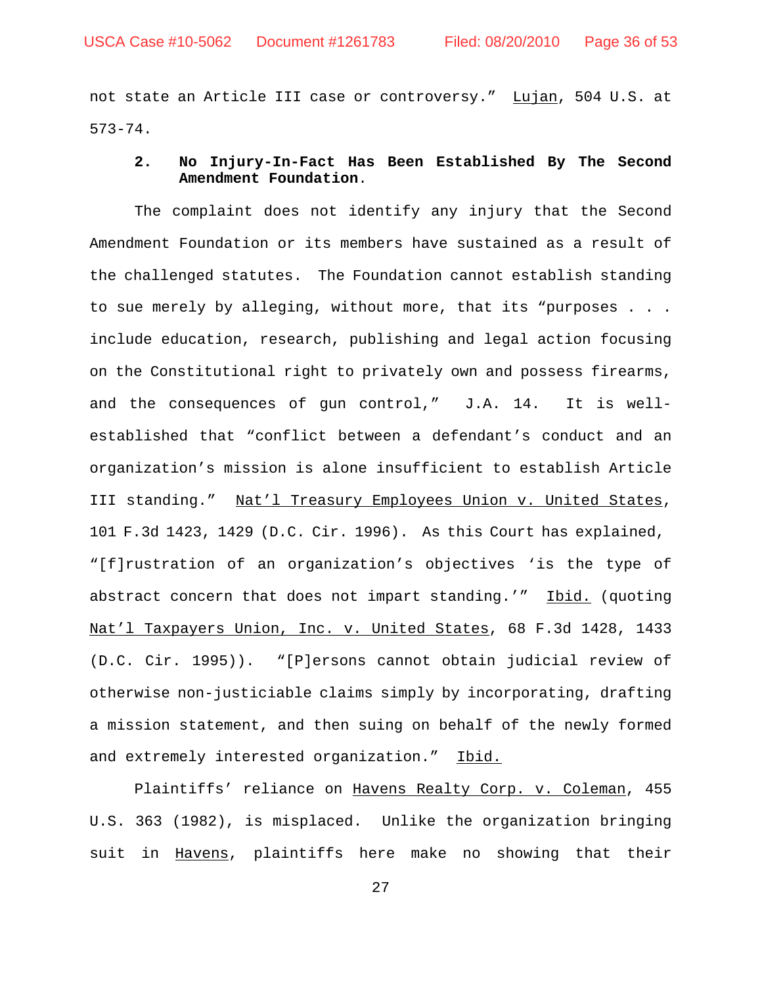not state an Article III case or controversy." Lujan, 504 U.S. at 573-74.

## **2. No Injury-In-Fact Has Been Established By The Second Amendment Foundation**.

The complaint does not identify any injury that the Second Amendment Foundation or its members have sustained as a result of the challenged statutes. The Foundation cannot establish standing to sue merely by alleging, without more, that its "purposes . . . include education, research, publishing and legal action focusing on the Constitutional right to privately own and possess firearms, and the consequences of gun control," J.A. 14. It is wellestablished that "conflict between a defendant's conduct and an organization's mission is alone insufficient to establish Article III standing." Nat'l Treasury Employees Union v. United States, 101 F.3d 1423, 1429 (D.C. Cir. 1996). As this Court has explained, "[f]rustration of an organization's objectives 'is the type of abstract concern that does not impart standing.'" Ibid. (quoting Nat'l Taxpayers Union, Inc. v. United States, 68 F.3d 1428, 1433 (D.C. Cir. 1995)). "[P]ersons cannot obtain judicial review of otherwise non-justiciable claims simply by incorporating, drafting a mission statement, and then suing on behalf of the newly formed and extremely interested organization." Ibid.

Plaintiffs' reliance on Havens Realty Corp. v. Coleman, 455 U.S. 363 (1982), is misplaced. Unlike the organization bringing suit in Havens, plaintiffs here make no showing that their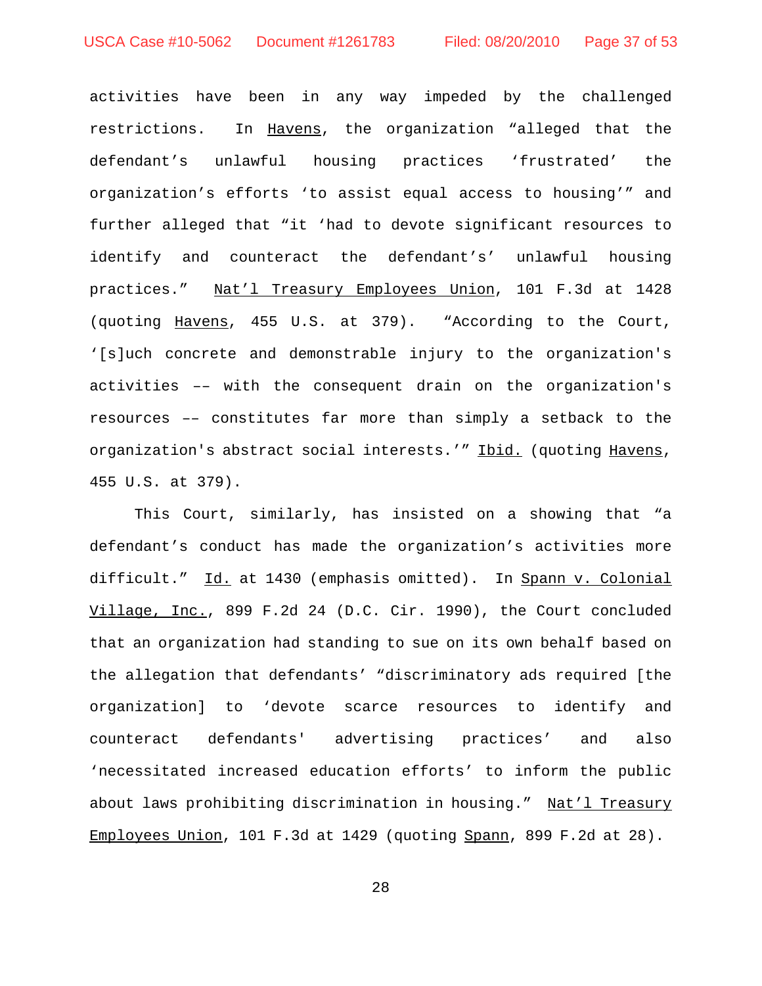activities have been in any way impeded by the challenged restrictions. In Havens, the organization "alleged that the defendant's unlawful housing practices 'frustrated' the organization's efforts 'to assist equal access to housing'" and further alleged that "it 'had to devote significant resources to identify and counteract the defendant's' unlawful housing practices." Nat'l Treasury Employees Union, 101 F.3d at 1428 (quoting Havens, 455 U.S. at 379). "According to the Court, '[s]uch concrete and demonstrable injury to the organization's activities –– with the consequent drain on the organization's resources –– constitutes far more than simply a setback to the organization's abstract social interests.'" Ibid. (quoting Havens, 455 U.S. at 379).

This Court, similarly, has insisted on a showing that "a defendant's conduct has made the organization's activities more difficult." Id. at 1430 (emphasis omitted). In Spann v. Colonial Village, Inc., 899 F.2d 24 (D.C. Cir. 1990), the Court concluded that an organization had standing to sue on its own behalf based on the allegation that defendants' "discriminatory ads required [the organization] to 'devote scarce resources to identify and counteract defendants' advertising practices' and also 'necessitated increased education efforts' to inform the public about laws prohibiting discrimination in housing." Nat'l Treasury Employees Union, 101 F.3d at 1429 (quoting Spann, 899 F.2d at 28).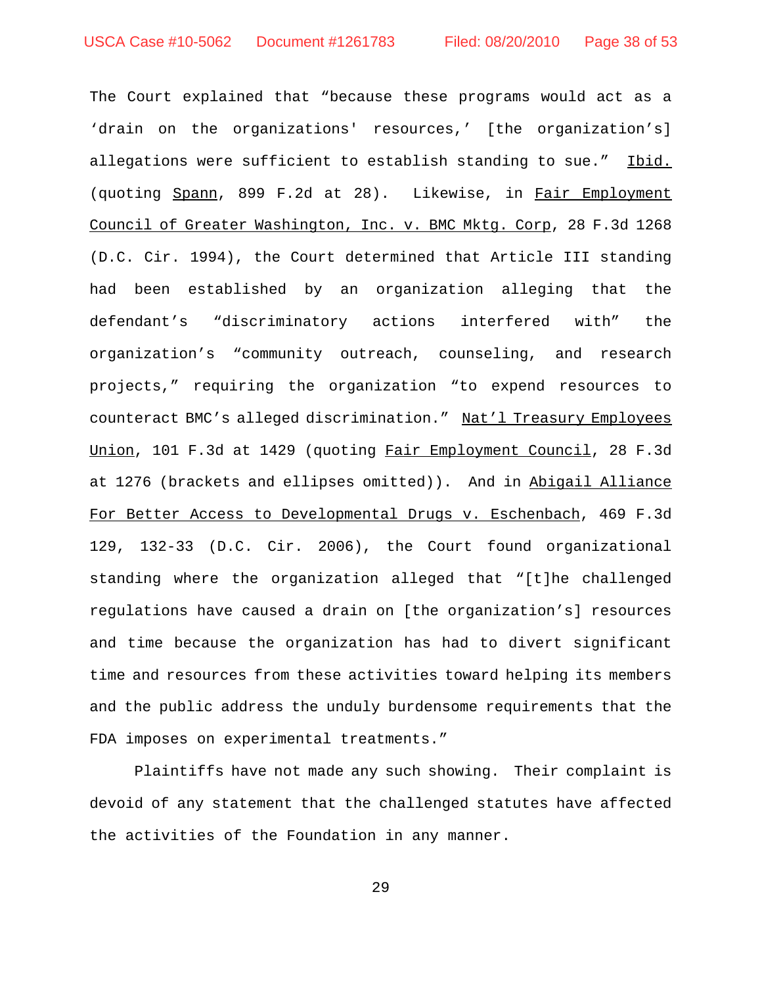The Court explained that "because these programs would act as a 'drain on the organizations' resources,' [the organization's] allegations were sufficient to establish standing to sue." Ibid. (quoting Spann, 899 F.2d at 28). Likewise, in Fair Employment Council of Greater Washington, Inc. v. BMC Mktg. Corp, 28 F.3d 1268 (D.C. Cir. 1994), the Court determined that Article III standing had been established by an organization alleging that the defendant's "discriminatory actions interfered with" the organization's "community outreach, counseling, and research projects," requiring the organization "to expend resources to counteract BMC's alleged discrimination." Nat'l Treasury Employees Union, 101 F.3d at 1429 (quoting Fair Employment Council, 28 F.3d at 1276 (brackets and ellipses omitted)). And in Abigail Alliance For Better Access to Developmental Drugs v. Eschenbach, 469 F.3d 129, 132-33 (D.C. Cir. 2006), the Court found organizational standing where the organization alleged that "[t]he challenged regulations have caused a drain on [the organization's] resources and time because the organization has had to divert significant time and resources from these activities toward helping its members and the public address the unduly burdensome requirements that the FDA imposes on experimental treatments."

Plaintiffs have not made any such showing. Their complaint is devoid of any statement that the challenged statutes have affected the activities of the Foundation in any manner.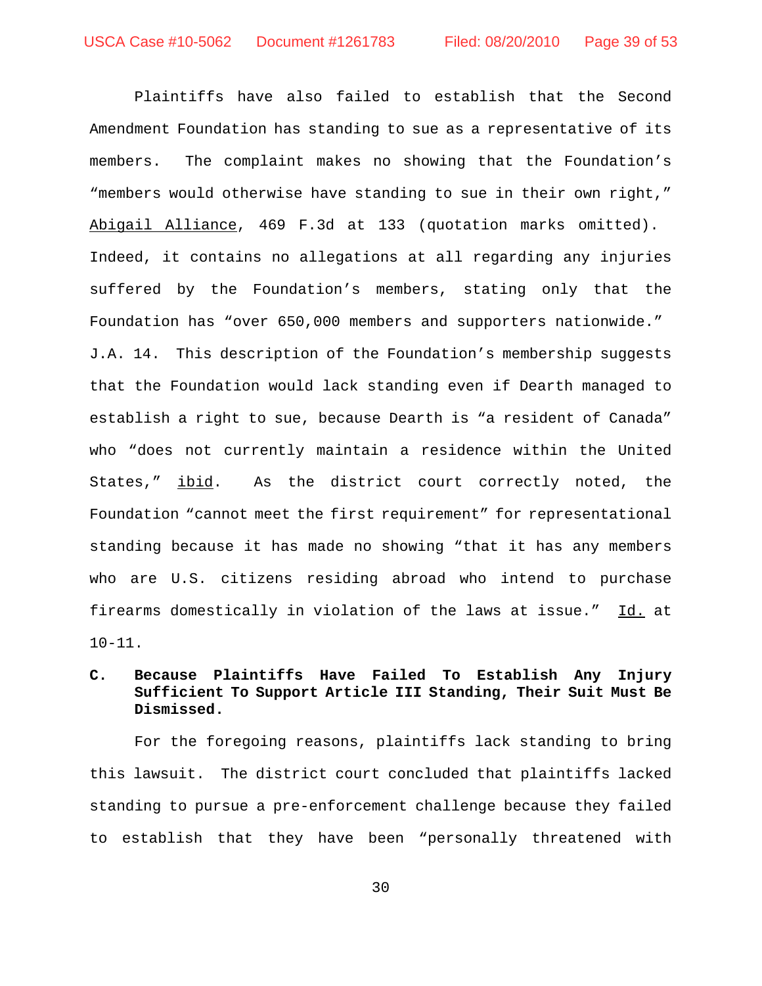Plaintiffs have also failed to establish that the Second Amendment Foundation has standing to sue as a representative of its members. The complaint makes no showing that the Foundation's "members would otherwise have standing to sue in their own right," Abigail Alliance, 469 F.3d at 133 (quotation marks omitted). Indeed, it contains no allegations at all regarding any injuries suffered by the Foundation's members, stating only that the Foundation has "over 650,000 members and supporters nationwide." J.A. 14. This description of the Foundation's membership suggests that the Foundation would lack standing even if Dearth managed to establish a right to sue, because Dearth is "a resident of Canada" who "does not currently maintain a residence within the United States," *ibid*. As the district court correctly noted, the Foundation "cannot meet the first requirement" for representational standing because it has made no showing "that it has any members who are U.S. citizens residing abroad who intend to purchase firearms domestically in violation of the laws at issue." Id. at 10-11.

## **C. Because Plaintiffs Have Failed To Establish Any Injury Sufficient To Support Article III Standing, Their Suit Must Be Dismissed.**

For the foregoing reasons, plaintiffs lack standing to bring this lawsuit. The district court concluded that plaintiffs lacked standing to pursue a pre-enforcement challenge because they failed to establish that they have been "personally threatened with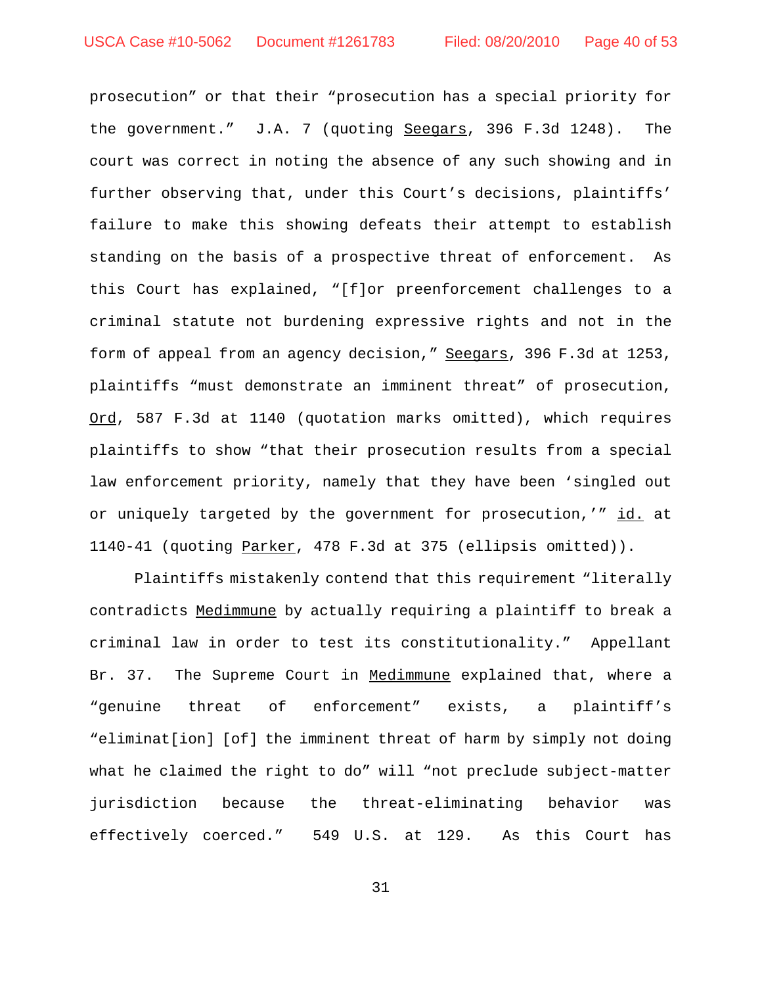prosecution" or that their "prosecution has a special priority for the government." J.A. 7 (quoting Seegars, 396 F.3d 1248). The court was correct in noting the absence of any such showing and in further observing that, under this Court's decisions, plaintiffs' failure to make this showing defeats their attempt to establish standing on the basis of a prospective threat of enforcement. As this Court has explained, "[f]or preenforcement challenges to a criminal statute not burdening expressive rights and not in the form of appeal from an agency decision," Seegars, 396 F.3d at 1253, plaintiffs "must demonstrate an imminent threat" of prosecution, Ord, 587 F.3d at 1140 (quotation marks omitted), which requires plaintiffs to show "that their prosecution results from a special law enforcement priority, namely that they have been 'singled out or uniquely targeted by the government for prosecution,'" id. at 1140-41 (quoting Parker, 478 F.3d at 375 (ellipsis omitted)).

Plaintiffs mistakenly contend that this requirement "literally contradicts Medimmune by actually requiring a plaintiff to break a criminal law in order to test its constitutionality." Appellant Br. 37. The Supreme Court in Medimmune explained that, where a "genuine threat of enforcement" exists, a plaintiff's "eliminat[ion] [of] the imminent threat of harm by simply not doing what he claimed the right to do" will "not preclude subject-matter jurisdiction because the threat-eliminating behavior was effectively coerced." 549 U.S. at 129. As this Court has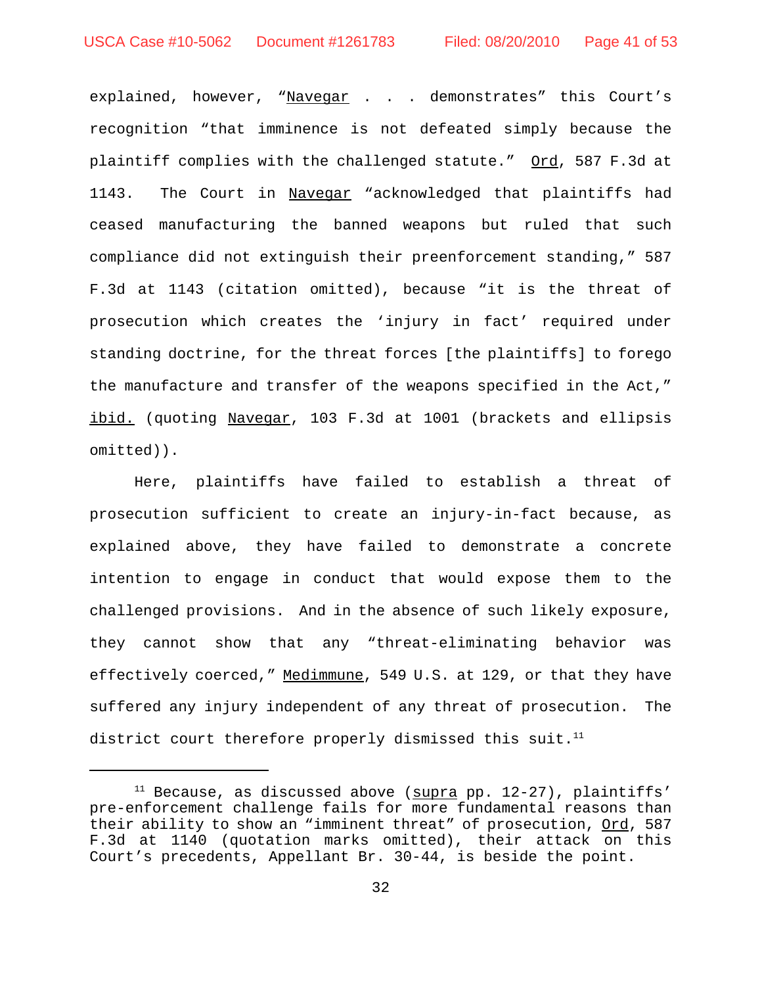explained, however, "Navegar . . . demonstrates" this Court's recognition "that imminence is not defeated simply because the plaintiff complies with the challenged statute." Ord, 587 F.3d at 1143. The Court in Navegar "acknowledged that plaintiffs had ceased manufacturing the banned weapons but ruled that such compliance did not extinguish their preenforcement standing," 587 F.3d at 1143 (citation omitted), because "it is the threat of prosecution which creates the 'injury in fact' required under standing doctrine, for the threat forces [the plaintiffs] to forego the manufacture and transfer of the weapons specified in the Act," ibid. (quoting Navegar, 103 F.3d at 1001 (brackets and ellipsis omitted)).

Here, plaintiffs have failed to establish a threat of prosecution sufficient to create an injury-in-fact because, as explained above, they have failed to demonstrate a concrete intention to engage in conduct that would expose them to the challenged provisions. And in the absence of such likely exposure, they cannot show that any "threat-eliminating behavior was effectively coerced," Medimmune, 549 U.S. at 129, or that they have suffered any injury independent of any threat of prosecution. The district court therefore properly dismissed this suit.<sup>11</sup>

 $11$  Because, as discussed above ( $\frac{1}{2}$  pp. 12-27), plaintiffs' pre-enforcement challenge fails for more fundamental reasons than their ability to show an "imminent threat" of prosecution, Ord, 587 F.3d at 1140 (quotation marks omitted), their attack on this Court's precedents, Appellant Br. 30-44, is beside the point.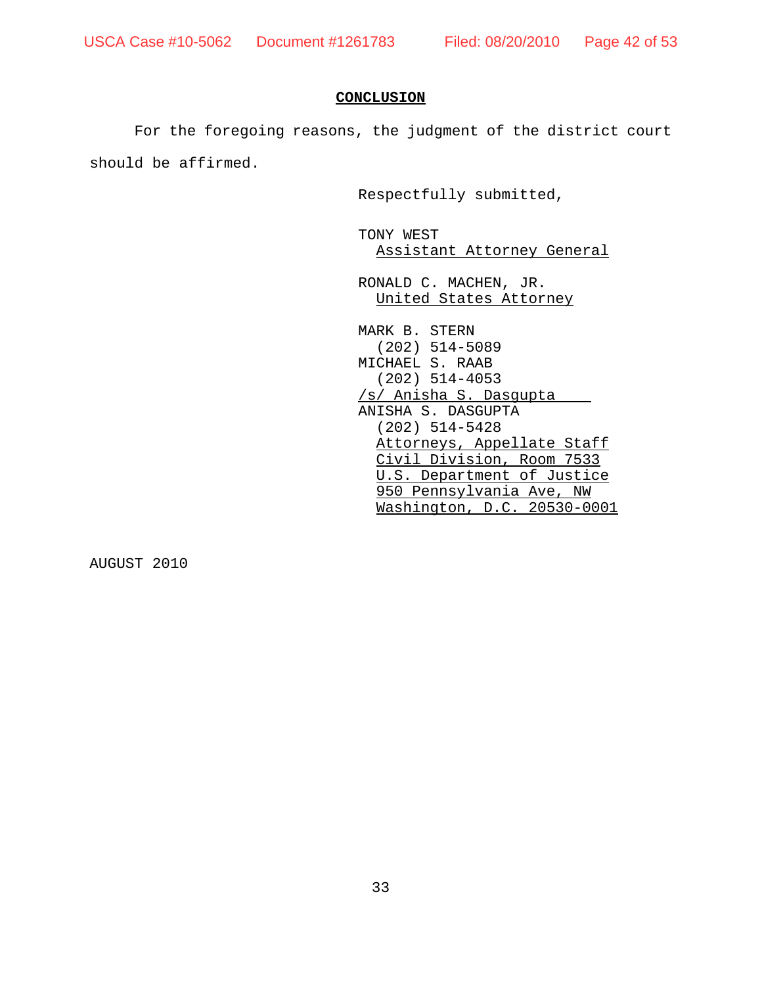#### **CONCLUSION**

For the foregoing reasons, the judgment of the district court

should be affirmed.

Respectfully submitted,

TONY WEST Assistant Attorney General

RONALD C. MACHEN, JR. United States Attorney

MARK B. STERN (202) 514-5089 MICHAEL S. RAAB (202) 514-4053 /s/ Anisha S. Dasgupta ANISHA S. DASGUPTA (202) 514-5428 Attorneys, Appellate Staff Civil Division, Room 7533 U.S. Department of Justice 950 Pennsylvania Ave, NW Washington, D.C. 20530-0001

AUGUST 2010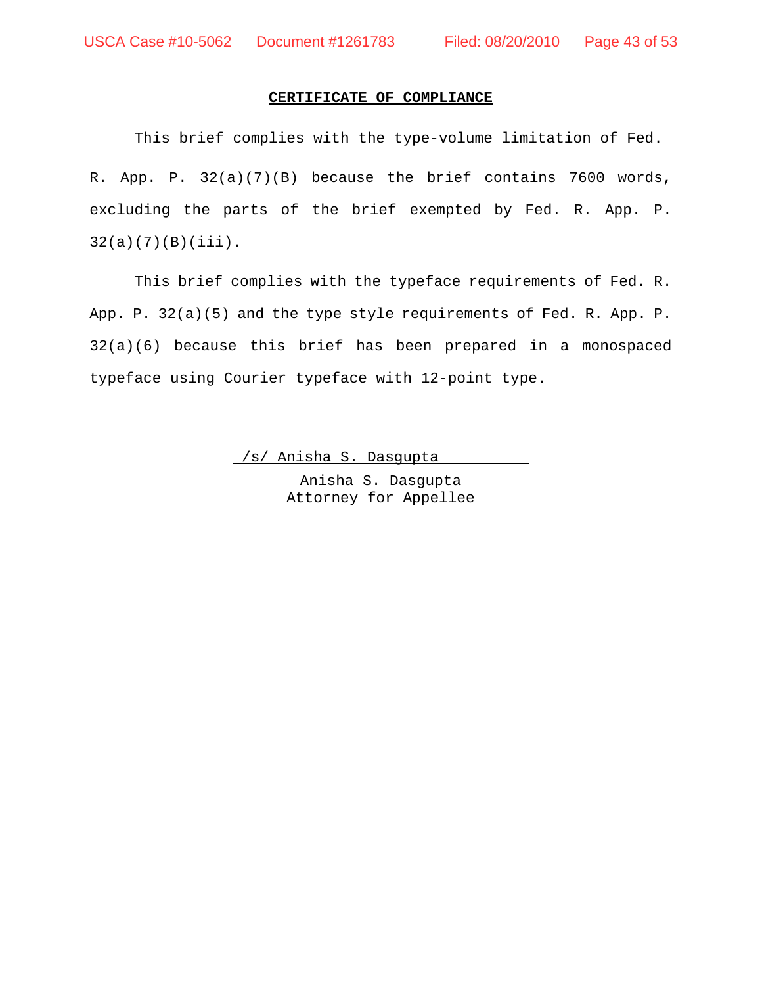## **CERTIFICATE OF COMPLIANCE**

This brief complies with the type-volume limitation of Fed. R. App. P. 32(a)(7)(B) because the brief contains 7600 words, excluding the parts of the brief exempted by Fed. R. App. P.  $32(a)(7)(B)(iii)$ .

This brief complies with the typeface requirements of Fed. R. App. P. 32(a)(5) and the type style requirements of Fed. R. App. P. 32(a)(6) because this brief has been prepared in a monospaced typeface using Courier typeface with 12-point type.

/s/ Anisha S. Dasgupta

Anisha S. Dasgupta Attorney for Appellee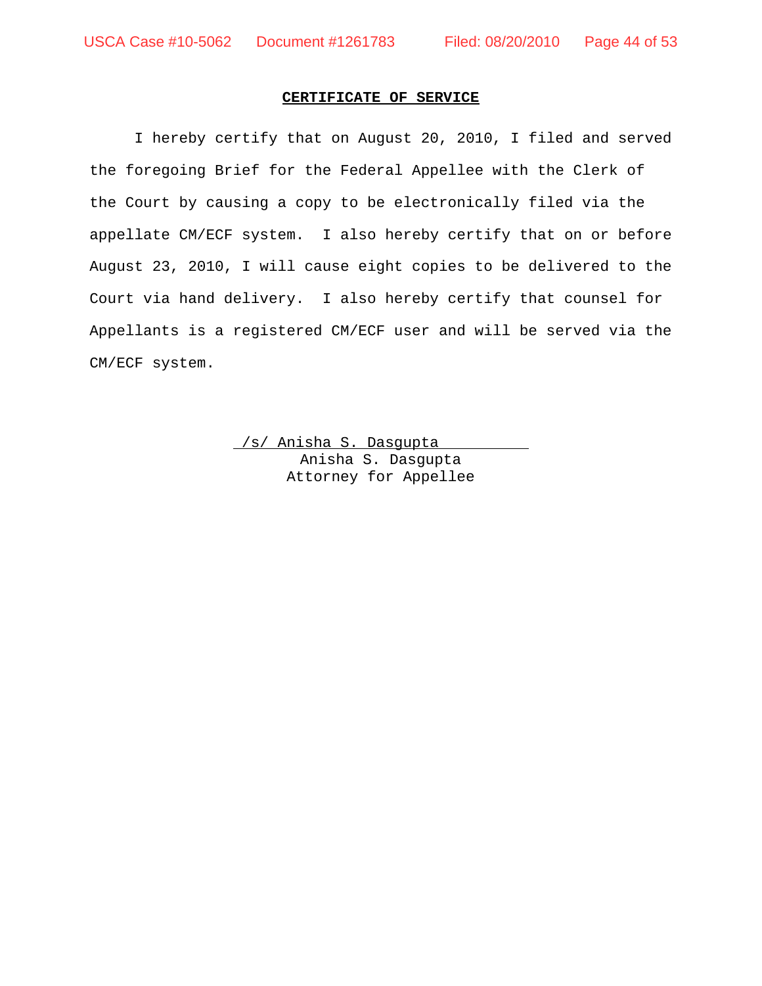## **CERTIFICATE OF SERVICE**

I hereby certify that on August 20, 2010, I filed and served the foregoing Brief for the Federal Appellee with the Clerk of the Court by causing a copy to be electronically filed via the appellate CM/ECF system. I also hereby certify that on or before August 23, 2010, I will cause eight copies to be delivered to the Court via hand delivery. I also hereby certify that counsel for Appellants is a registered CM/ECF user and will be served via the CM/ECF system.

> /s/ Anisha S. Dasgupta Anisha S. Dasgupta Attorney for Appellee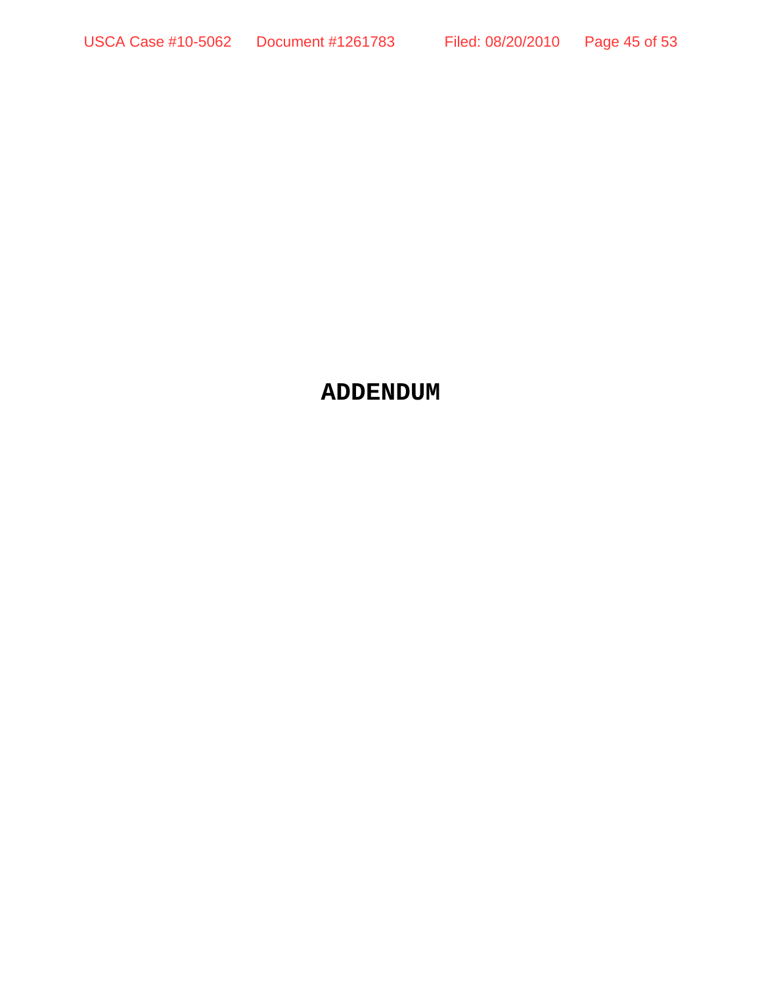# **ADDENDUM**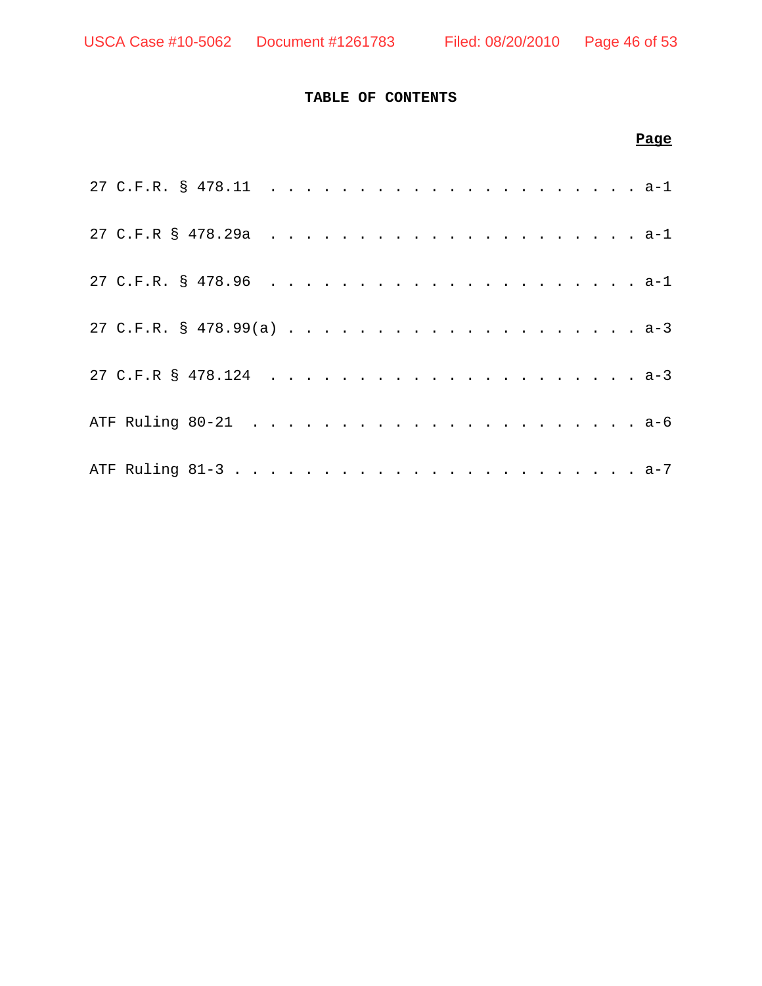## **TABLE OF CONTENTS**

|  |  |  |  |  |  |  |  |  |  | Page |
|--|--|--|--|--|--|--|--|--|--|------|
|  |  |  |  |  |  |  |  |  |  |      |
|  |  |  |  |  |  |  |  |  |  |      |
|  |  |  |  |  |  |  |  |  |  |      |
|  |  |  |  |  |  |  |  |  |  |      |
|  |  |  |  |  |  |  |  |  |  |      |
|  |  |  |  |  |  |  |  |  |  |      |
|  |  |  |  |  |  |  |  |  |  |      |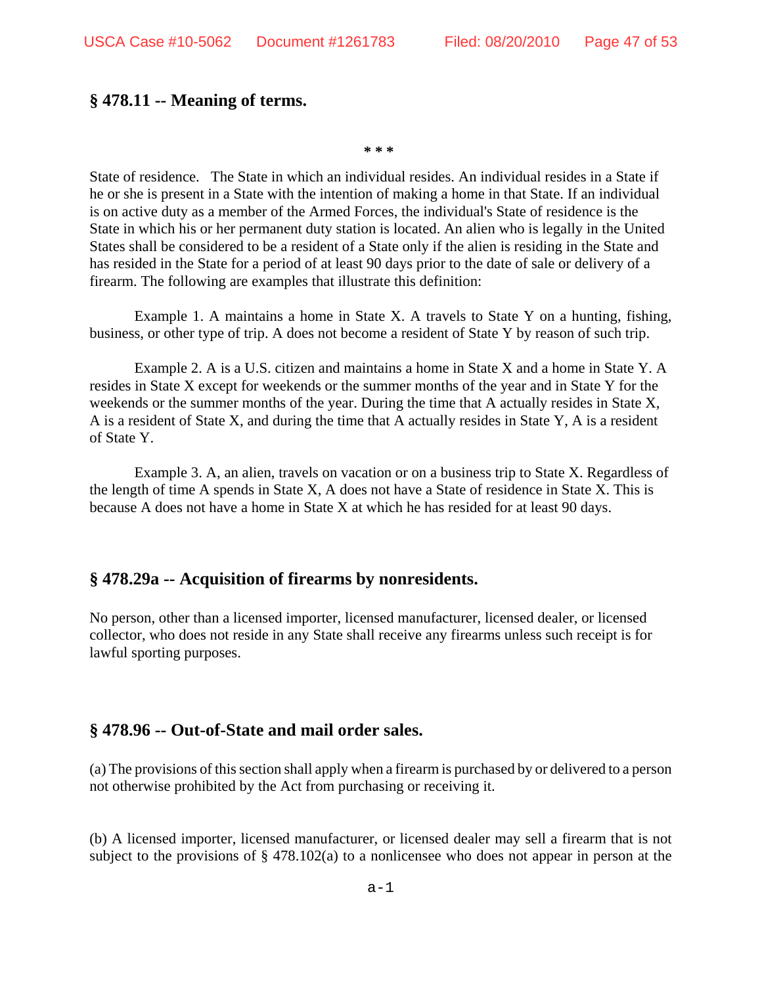## **§ 478.11 -- Meaning of terms.**

**\* \* \*** 

State of residence. The State in which an individual resides. An individual resides in a State if he or she is present in a State with the intention of making a home in that State. If an individual is on active duty as a member of the Armed Forces, the individual's State of residence is the State in which his or her permanent duty station is located. An alien who is legally in the United States shall be considered to be a resident of a State only if the alien is residing in the State and has resided in the State for a period of at least 90 days prior to the date of sale or delivery of a firearm. The following are examples that illustrate this definition:

Example 1. A maintains a home in State X. A travels to State Y on a hunting, fishing, business, or other type of trip. A does not become a resident of State Y by reason of such trip.

Example 2. A is a U.S. citizen and maintains a home in State X and a home in State Y. A resides in State X except for weekends or the summer months of the year and in State Y for the weekends or the summer months of the year. During the time that A actually resides in State X, A is a resident of State X, and during the time that A actually resides in State Y, A is a resident of State Y.

Example 3. A, an alien, travels on vacation or on a business trip to State X. Regardless of the length of time A spends in State X, A does not have a State of residence in State X. This is because A does not have a home in State X at which he has resided for at least 90 days.

## **§ 478.29a -- Acquisition of firearms by nonresidents.**

No person, other than a licensed importer, licensed manufacturer, licensed dealer, or licensed collector, who does not reside in any State shall receive any firearms unless such receipt is for lawful sporting purposes.

## **§ 478.96 -- Out-of-State and mail order sales.**

(a) The provisions of this section shall apply when a firearm is purchased by or delivered to a person not otherwise prohibited by the Act from purchasing or receiving it.

(b) A licensed importer, licensed manufacturer, or licensed dealer may sell a firearm that is not subject to the provisions of § 478.102(a) to a nonlicensee who does not appear in person at the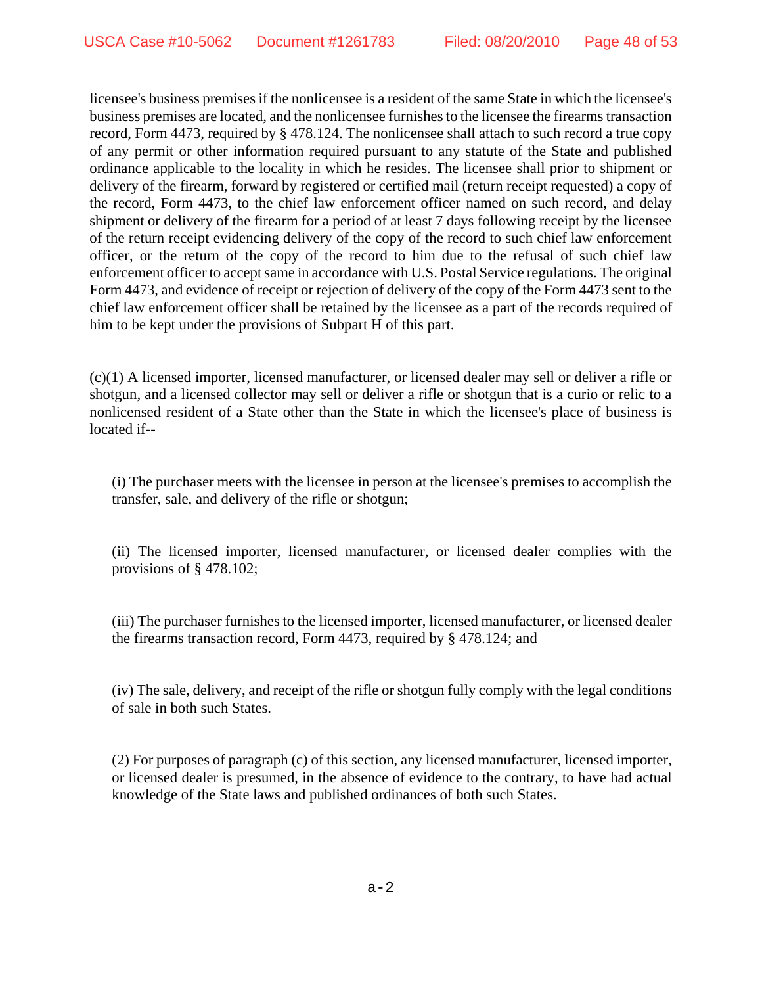licensee's business premises if the nonlicensee is a resident of the same State in which the licensee's business premises are located, and the nonlicensee furnishes to the licensee the firearms transaction record, Form 4473, required by § 478.124. The nonlicensee shall attach to such record a true copy of any permit or other information required pursuant to any statute of the State and published ordinance applicable to the locality in which he resides. The licensee shall prior to shipment or delivery of the firearm, forward by registered or certified mail (return receipt requested) a copy of the record, Form 4473, to the chief law enforcement officer named on such record, and delay shipment or delivery of the firearm for a period of at least 7 days following receipt by the licensee of the return receipt evidencing delivery of the copy of the record to such chief law enforcement officer, or the return of the copy of the record to him due to the refusal of such chief law enforcement officer to accept same in accordance with U.S. Postal Service regulations. The original Form 4473, and evidence of receipt or rejection of delivery of the copy of the Form 4473 sent to the chief law enforcement officer shall be retained by the licensee as a part of the records required of him to be kept under the provisions of Subpart H of this part.

(c)(1) A licensed importer, licensed manufacturer, or licensed dealer may sell or deliver a rifle or shotgun, and a licensed collector may sell or deliver a rifle or shotgun that is a curio or relic to a nonlicensed resident of a State other than the State in which the licensee's place of business is located if--

(i) The purchaser meets with the licensee in person at the licensee's premises to accomplish the transfer, sale, and delivery of the rifle or shotgun;

(ii) The licensed importer, licensed manufacturer, or licensed dealer complies with the provisions of § 478.102;

(iii) The purchaser furnishes to the licensed importer, licensed manufacturer, or licensed dealer the firearms transaction record, Form 4473, required by § 478.124; and

(iv) The sale, delivery, and receipt of the rifle or shotgun fully comply with the legal conditions of sale in both such States.

(2) For purposes of paragraph (c) of this section, any licensed manufacturer, licensed importer, or licensed dealer is presumed, in the absence of evidence to the contrary, to have had actual knowledge of the State laws and published ordinances of both such States.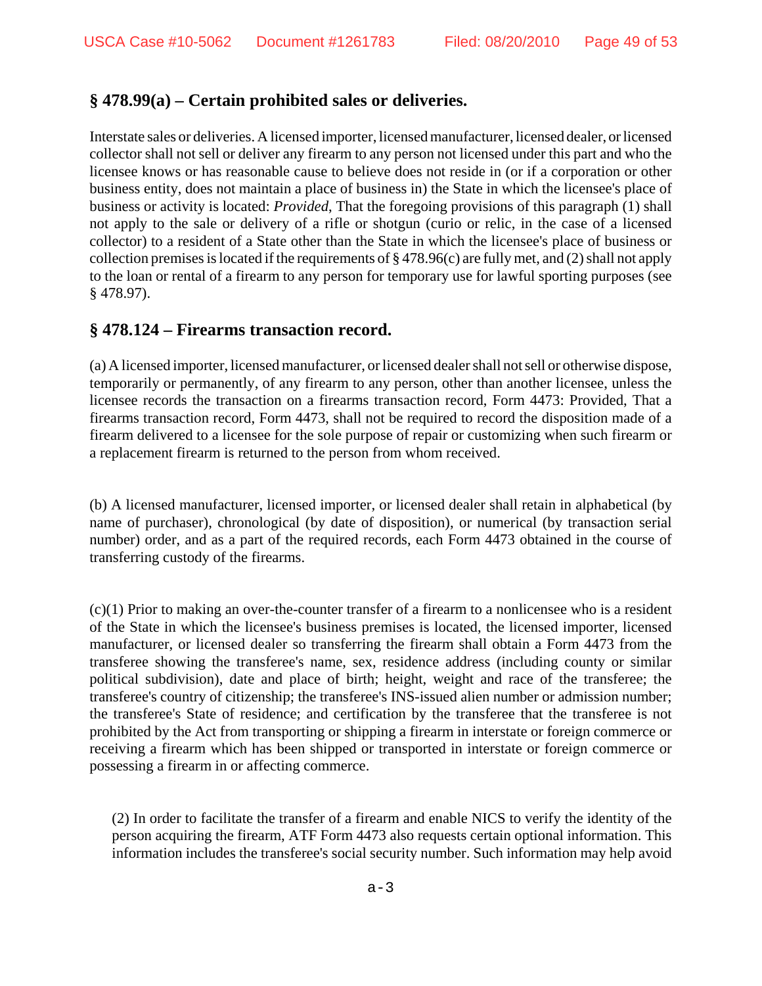# **§ 478.99(a) – Certain prohibited sales or deliveries.**

Interstate sales or deliveries. A licensed importer, licensed manufacturer, licensed dealer, or licensed collector shall not sell or deliver any firearm to any person not licensed under this part and who the licensee knows or has reasonable cause to believe does not reside in (or if a corporation or other business entity, does not maintain a place of business in) the State in which the licensee's place of business or activity is located: *Provided*, That the foregoing provisions of this paragraph (1) shall not apply to the sale or delivery of a rifle or shotgun (curio or relic, in the case of a licensed collector) to a resident of a State other than the State in which the licensee's place of business or collection premises is located if the requirements of  $\S 478.96(c)$  are fully met, and (2) shall not apply to the loan or rental of a firearm to any person for temporary use for lawful sporting purposes (see § 478.97).

# **§ 478.124 – Firearms transaction record.**

(a) A licensed importer, licensed manufacturer, or licensed dealer shall not sell or otherwise dispose, temporarily or permanently, of any firearm to any person, other than another licensee, unless the licensee records the transaction on a firearms transaction record, Form 4473: Provided, That a firearms transaction record, Form 4473, shall not be required to record the disposition made of a firearm delivered to a licensee for the sole purpose of repair or customizing when such firearm or a replacement firearm is returned to the person from whom received.

(b) A licensed manufacturer, licensed importer, or licensed dealer shall retain in alphabetical (by name of purchaser), chronological (by date of disposition), or numerical (by transaction serial number) order, and as a part of the required records, each Form 4473 obtained in the course of transferring custody of the firearms.

(c)(1) Prior to making an over-the-counter transfer of a firearm to a nonlicensee who is a resident of the State in which the licensee's business premises is located, the licensed importer, licensed manufacturer, or licensed dealer so transferring the firearm shall obtain a Form 4473 from the transferee showing the transferee's name, sex, residence address (including county or similar political subdivision), date and place of birth; height, weight and race of the transferee; the transferee's country of citizenship; the transferee's INS-issued alien number or admission number; the transferee's State of residence; and certification by the transferee that the transferee is not prohibited by the Act from transporting or shipping a firearm in interstate or foreign commerce or receiving a firearm which has been shipped or transported in interstate or foreign commerce or possessing a firearm in or affecting commerce.

(2) In order to facilitate the transfer of a firearm and enable NICS to verify the identity of the person acquiring the firearm, ATF Form 4473 also requests certain optional information. This information includes the transferee's social security number. Such information may help avoid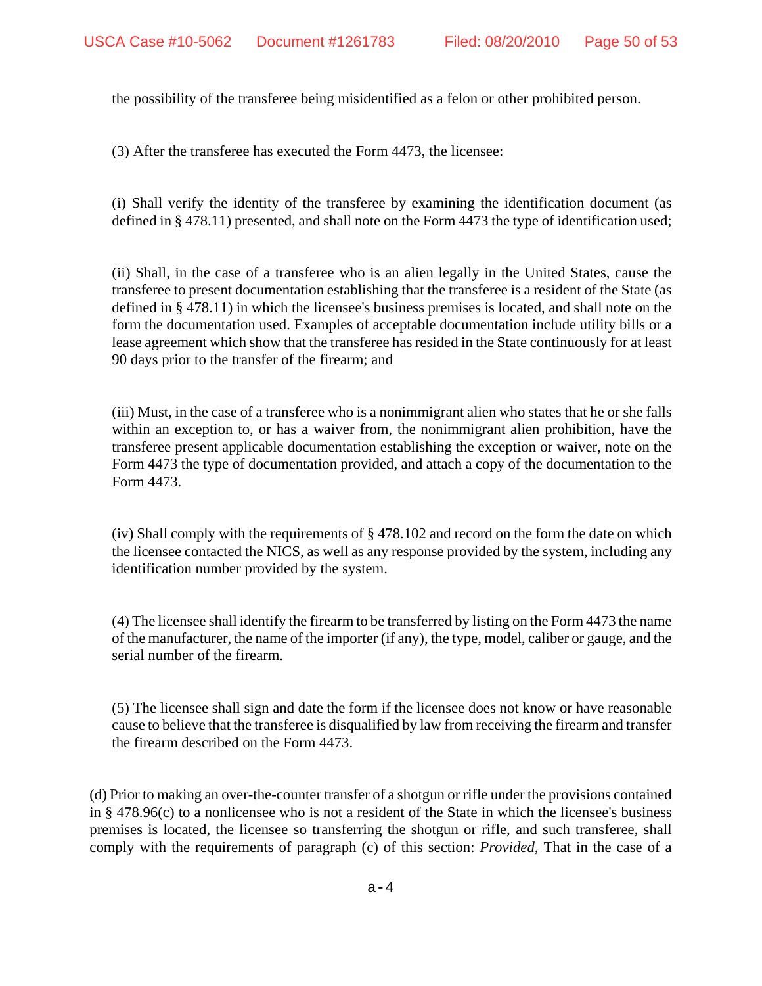the possibility of the transferee being misidentified as a felon or other prohibited person.

(3) After the transferee has executed the Form 4473, the licensee:

(i) Shall verify the identity of the transferee by examining the identification document (as defined in § 478.11) presented, and shall note on the Form 4473 the type of identification used;

(ii) Shall, in the case of a transferee who is an alien legally in the United States, cause the transferee to present documentation establishing that the transferee is a resident of the State (as defined in § 478.11) in which the licensee's business premises is located, and shall note on the form the documentation used. Examples of acceptable documentation include utility bills or a lease agreement which show that the transferee has resided in the State continuously for at least 90 days prior to the transfer of the firearm; and

(iii) Must, in the case of a transferee who is a nonimmigrant alien who states that he or she falls within an exception to, or has a waiver from, the nonimmigrant alien prohibition, have the transferee present applicable documentation establishing the exception or waiver, note on the Form 4473 the type of documentation provided, and attach a copy of the documentation to the Form 4473.

(iv) Shall comply with the requirements of § 478.102 and record on the form the date on which the licensee contacted the NICS, as well as any response provided by the system, including any identification number provided by the system.

(4) The licensee shall identify the firearm to be transferred by listing on the Form 4473 the name of the manufacturer, the name of the importer (if any), the type, model, caliber or gauge, and the serial number of the firearm.

(5) The licensee shall sign and date the form if the licensee does not know or have reasonable cause to believe that the transferee is disqualified by law from receiving the firearm and transfer the firearm described on the Form 4473.

(d) Prior to making an over-the-counter transfer of a shotgun or rifle under the provisions contained in § 478.96(c) to a nonlicensee who is not a resident of the State in which the licensee's business premises is located, the licensee so transferring the shotgun or rifle, and such transferee, shall comply with the requirements of paragraph (c) of this section: *Provided*, That in the case of a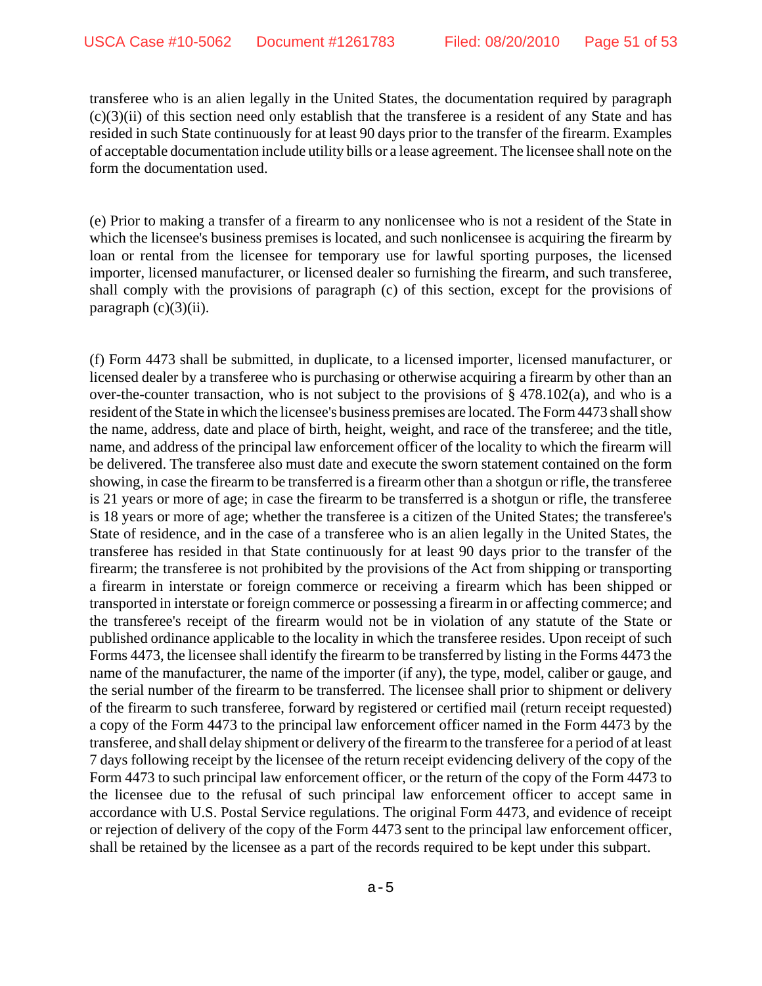transferee who is an alien legally in the United States, the documentation required by paragraph  $(c)(3)(ii)$  of this section need only establish that the transferee is a resident of any State and has resided in such State continuously for at least 90 days prior to the transfer of the firearm. Examples of acceptable documentation include utility bills or a lease agreement. The licensee shall note on the form the documentation used.

(e) Prior to making a transfer of a firearm to any nonlicensee who is not a resident of the State in which the licensee's business premises is located, and such nonlicensee is acquiring the firearm by loan or rental from the licensee for temporary use for lawful sporting purposes, the licensed importer, licensed manufacturer, or licensed dealer so furnishing the firearm, and such transferee, shall comply with the provisions of paragraph (c) of this section, except for the provisions of paragraph (c)(3)(ii).

(f) Form 4473 shall be submitted, in duplicate, to a licensed importer, licensed manufacturer, or licensed dealer by a transferee who is purchasing or otherwise acquiring a firearm by other than an over-the-counter transaction, who is not subject to the provisions of  $\S$  478.102(a), and who is a resident of the State in which the licensee's business premises are located. The Form 4473 shall show the name, address, date and place of birth, height, weight, and race of the transferee; and the title, name, and address of the principal law enforcement officer of the locality to which the firearm will be delivered. The transferee also must date and execute the sworn statement contained on the form showing, in case the firearm to be transferred is a firearm other than a shotgun or rifle, the transferee is 21 years or more of age; in case the firearm to be transferred is a shotgun or rifle, the transferee is 18 years or more of age; whether the transferee is a citizen of the United States; the transferee's State of residence, and in the case of a transferee who is an alien legally in the United States, the transferee has resided in that State continuously for at least 90 days prior to the transfer of the firearm; the transferee is not prohibited by the provisions of the Act from shipping or transporting a firearm in interstate or foreign commerce or receiving a firearm which has been shipped or transported in interstate or foreign commerce or possessing a firearm in or affecting commerce; and the transferee's receipt of the firearm would not be in violation of any statute of the State or published ordinance applicable to the locality in which the transferee resides. Upon receipt of such Forms 4473, the licensee shall identify the firearm to be transferred by listing in the Forms 4473 the name of the manufacturer, the name of the importer (if any), the type, model, caliber or gauge, and the serial number of the firearm to be transferred. The licensee shall prior to shipment or delivery of the firearm to such transferee, forward by registered or certified mail (return receipt requested) a copy of the Form 4473 to the principal law enforcement officer named in the Form 4473 by the transferee, and shall delay shipment or delivery of the firearm to the transferee for a period of at least 7 days following receipt by the licensee of the return receipt evidencing delivery of the copy of the Form 4473 to such principal law enforcement officer, or the return of the copy of the Form 4473 to the licensee due to the refusal of such principal law enforcement officer to accept same in accordance with U.S. Postal Service regulations. The original Form 4473, and evidence of receipt or rejection of delivery of the copy of the Form 4473 sent to the principal law enforcement officer, shall be retained by the licensee as a part of the records required to be kept under this subpart.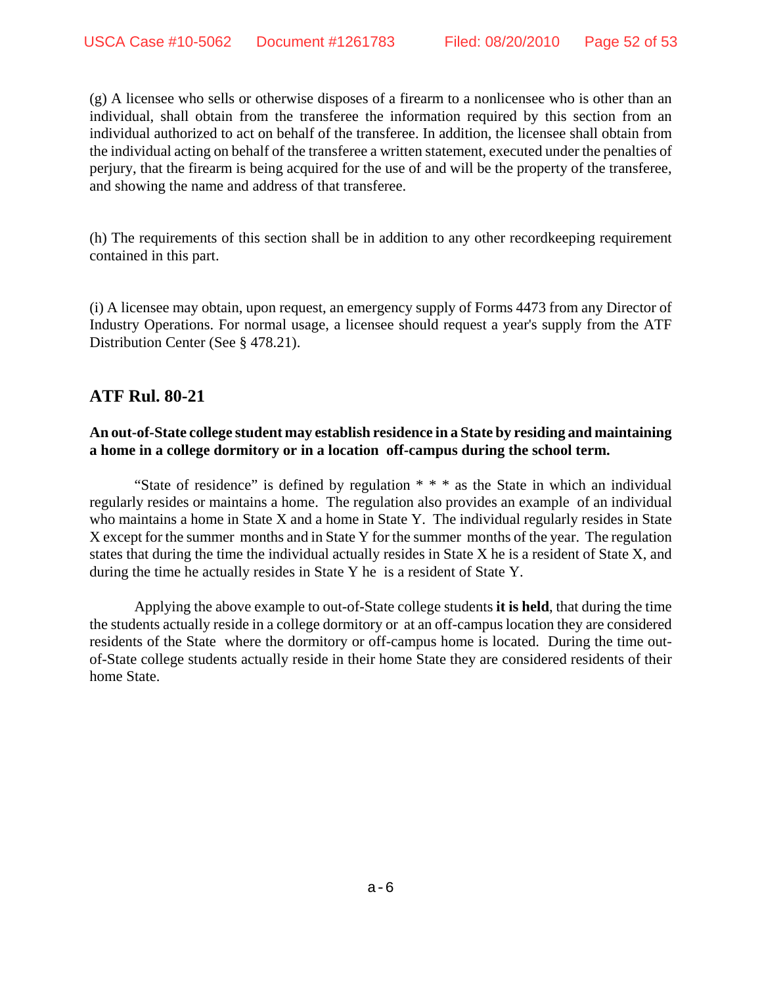(g) A licensee who sells or otherwise disposes of a firearm to a nonlicensee who is other than an individual, shall obtain from the transferee the information required by this section from an individual authorized to act on behalf of the transferee. In addition, the licensee shall obtain from the individual acting on behalf of the transferee a written statement, executed under the penalties of perjury, that the firearm is being acquired for the use of and will be the property of the transferee, and showing the name and address of that transferee.

(h) The requirements of this section shall be in addition to any other recordkeeping requirement contained in this part.

(i) A licensee may obtain, upon request, an emergency supply of Forms 4473 from any Director of Industry Operations. For normal usage, a licensee should request a year's supply from the ATF Distribution Center (See § 478.21).

## **ATF Rul. 80-21**

## **An out-of-State college student may establish residence in a State by residing and maintaining a home in a college dormitory or in a location off-campus during the school term.**

"State of residence" is defined by regulation  $* * *$  as the State in which an individual regularly resides or maintains a home. The regulation also provides an example of an individual who maintains a home in State X and a home in State Y. The individual regularly resides in State X except for the summer months and in State Y for the summer months of the year. The regulation states that during the time the individual actually resides in State X he is a resident of State X, and during the time he actually resides in State Y he is a resident of State Y.

Applying the above example to out-of-State college students **it is held**, that during the time the students actually reside in a college dormitory or at an off-campus location they are considered residents of the State where the dormitory or off-campus home is located. During the time outof-State college students actually reside in their home State they are considered residents of their home State.